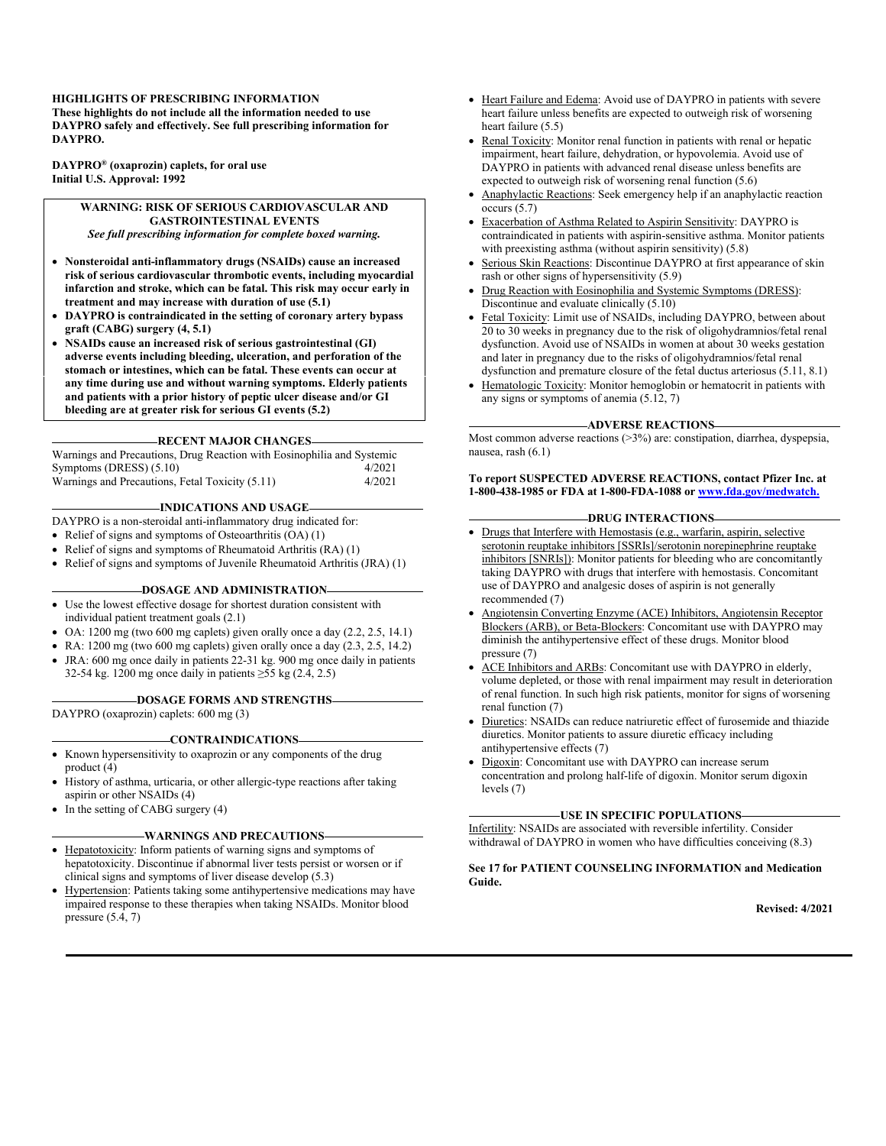#### **HIGHLIGHTS OF PRESCRIBING INFORMATION**

**These highlights do not include all the information needed to use DAYPRO safely and effectively. See full prescribing information for DAYPRO.**

**DAYPRO® (oxaprozin) caplets, for oral use Initial U.S. Approval: 1992**

> **WARNING: RISK OF SERIOUS CARDIOVASCULAR AND GASTROINTESTINAL EVENTS** *See full prescribing information for complete boxed warning.*

- **Nonsteroidal anti-inflammatory drugs (NSAIDs) cause an increased risk of serious cardiovascular thrombotic events, including myocardial infarction and stroke, which can be fatal. This risk may occur early in treatment and may increase with duration of use (5.1)**
- **DAYPRO is contraindicated in the setting of coronary artery bypass graft (CABG) surgery (4, 5.1)**
- **NSAIDs cause an increased risk of serious gastrointestinal (GI) adverse events including bleeding, ulceration, and perforation of the stomach or intestines, which can be fatal. These events can occur at any time during use and without warning symptoms. Elderly patients and patients with a prior history of peptic ulcer disease and/or GI bleeding are at greater risk for serious GI events (5.2)**

#### **RECENT MAJOR CHANGES**

Warnings and Precautions, Drug Reaction with Eosinophilia and Systemic Symptoms (DRESS) (5.10) 4/2021 Warnings and Precautions, Fetal Toxicity (5.11) 4/2021

#### **INDICATIONS AND USAGE**

- DAYPRO is a non-steroidal anti-inflammatory drug indicated for:
- Relief of signs and symptoms of Osteoarthritis  $(OA)$  (1)
- Relief of signs and symptoms of Rheumatoid Arthritis (RA) (1)
- Relief of signs and symptoms of Juvenile Rheumatoid Arthritis (JRA) (1)

#### **DOSAGE AND ADMINISTRATION**

- Use the lowest effective dosage for shortest duration consistent with individual patient treatment goals (2.1)
- $\bullet$  OA: 1200 mg (two 600 mg caplets) given orally once a day (2.2, 2.5, 14.1)
- RA:  $1200 \text{ mg}$  (two 600 mg caplets) given orally once a day  $(2.3, 2.5, 14.2)$
- JRA: 600 mg once daily in patients 22-31 kg. 900 mg once daily in patients
	- 32-54 kg. 1200 mg once daily in patients ≥55 kg (2.4, 2.5)

#### **DOSAGE FORMS AND STRENGTHS**

DAYPRO (oxaprozin) caplets: 600 mg (3)

#### **CONTRAINDICATIONS**

- Known hypersensitivity to oxaprozin or any components of the drug product (4)
- History of asthma, urticaria, or other allergic-type reactions after taking aspirin or other NSAIDs (4)
- In the setting of CABG surgery (4)

#### **WARNINGS AND PRECAUTIONS**

- Hepatotoxicity: Inform patients of warning signs and symptoms of hepatotoxicity. Discontinue if abnormal liver tests persist or worsen or if clinical signs and symptoms of liver disease develop (5.3)
- Hypertension: Patients taking some antihypertensive medications may have impaired response to these therapies when taking NSAIDs. Monitor blood pressure (5.4, 7)
- Heart Failure and Edema: Avoid use of DAYPRO in patients with severe heart failure unless benefits are expected to outweigh risk of worsening heart failure (5.5)
- Renal Toxicity: Monitor renal function in patients with renal or hepatic impairment, heart failure, dehydration, or hypovolemia. Avoid use of DAYPRO in patients with advanced renal disease unless benefits are expected to outweigh risk of worsening renal function (5.6)
- Anaphylactic Reactions: Seek emergency help if an anaphylactic reaction occurs (5.7)
- Exacerbation of Asthma Related to Aspirin Sensitivity: DAYPRO is contraindicated in patients with aspirin-sensitive asthma. Monitor patients with preexisting asthma (without aspirin sensitivity) (5.8)
- Serious Skin Reactions: Discontinue DAYPRO at first appearance of skin rash or other signs of hypersensitivity (5.9)
- Drug Reaction with Eosinophilia and Systemic Symptoms (DRESS): Discontinue and evaluate clinically (5.10)
- Fetal Toxicity: Limit use of NSAIDs, including DAYPRO, between about 20 to 30 weeks in pregnancy due to the risk of oligohydramnios/fetal renal dysfunction. Avoid use of NSAIDs in women at about 30 weeks gestation and later in pregnancy due to the risks of oligohydramnios/fetal renal dysfunction and premature closure of the fetal ductus arteriosus (5.11, 8.1)
- Hematologic Toxicity: Monitor hemoglobin or hematocrit in patients with any signs or symptoms of anemia (5.12, 7)

#### **ADVERSE REACTIONS**

Most common adverse reactions (>3%) are: constipation, diarrhea, dyspepsia, nausea, rash (6.1)

#### **To report SUSPECTED ADVERSE REACTIONS, contact Pfizer Inc. at 1-800-438-1985 or FDA at 1-800-FDA-1088 or [www.fda.gov/medwatch.](http://www.fda.gov/medwatch.)**

#### **DRUG INTERACTIONS**

- Drugs that Interfere with Hemostasis (e.g., warfarin, aspirin, selective serotonin reuptake inhibitors [SSRIs]/serotonin norepinephrine reuptake inhibitors [SNRIs]): Monitor patients for bleeding who are concomitantly taking DAYPRO with drugs that interfere with hemostasis. Concomitant use of DAYPRO and analgesic doses of aspirin is not generally recommended (7)
- Angiotensin Converting Enzyme (ACE) Inhibitors, Angiotensin Receptor Blockers (ARB), or Beta-Blockers: Concomitant use with DAYPRO may diminish the antihypertensive effect of these drugs. Monitor blood pressure (7)
- ACE Inhibitors and ARBs: Concomitant use with DAYPRO in elderly, volume depleted, or those with renal impairment may result in deterioration of renal function. In such high risk patients, monitor for signs of worsening renal function (7)
- Diuretics: NSAIDs can reduce natriuretic effect of furosemide and thiazide diuretics. Monitor patients to assure diuretic efficacy including antihypertensive effects (7)
- Digoxin: Concomitant use with DAYPRO can increase serum concentration and prolong half-life of digoxin. Monitor serum digoxin levels (7)

#### **USE IN SPECIFIC POPULATIONS**

Infertility: NSAIDs are associated with reversible infertility. Consider withdrawal of DAYPRO in women who have difficulties conceiving (8.3)

**See 17 for PATIENT COUNSELING INFORMATION and Medication Guide.** 

**Revised: 4/2021**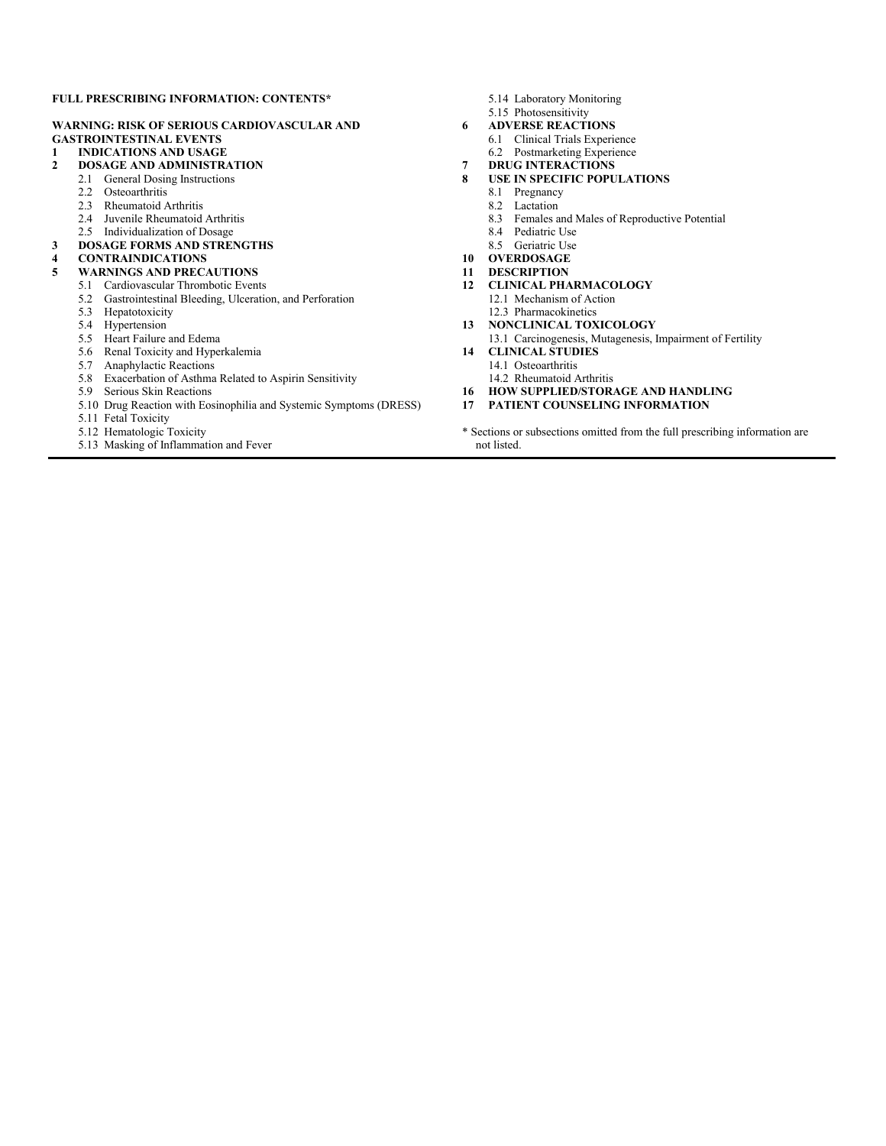#### **FULL PRESCRIBING INFORMATION: CONTENTS\***

#### **WARNING: RISK OF SERIOUS CARDIOVASCULAR AND GASTROINTESTINAL EVENTS**

**1 INDICATIONS AND USAGE**

#### **2 DOSAGE AND ADMINISTRATION**

- 2.1 General Dosing Instructions
	- 2.2 Osteoarthritis
	- 2.3 Rheumatoid Arthritis
	- 2.4 Juvenile Rheumatoid Arthritis
	- 2.5 Individualization of Dosage
- **3 DOSAGE FORMS AND STRENGTHS**

# **4 CONTRAINDICATIONS**

#### **5 WARNINGS AND PRECAUTIONS**

- 5.1 Cardiovascular Thrombotic Events
- 5.2 Gastrointestinal Bleeding, Ulceration, and Perforation
- 5.3 Hepatotoxicity
- 5.4 Hypertension
- 5.5 Heart Failure and Edema
- 5.6 Renal Toxicity and Hyperkalemia
- 5.7 Anaphylactic Reactions
- 5.8 Exacerbation of Asthma Related to Aspirin Sensitivity
- 5.9 Serious Skin Reactions
- 5.10 Drug Reaction with Eosinophilia and Systemic Symptoms (DRESS)
- 5.11 Fetal Toxicity
- 5.12 Hematologic Toxicity
- 5.13 Masking of Inflammation and Fever
- 5.14 Laboratory Monitoring
- 5.15 Photosensitivity
- **6 ADVERSE REACTIONS**
	- 6.1 Clinical Trials Experience
	- 6.2 Postmarketing Experience
- **7 DRUG INTERACTIONS**
- **8 USE IN SPECIFIC POPULATIONS**
	- 8.1 Pregnancy
	- 8.2 Lactation
	- 8.3 Females and Males of Reproductive Potential
	- 8.4 Pediatric Use
	- 8.5 Geriatric Use
- **10 OVERDOSAGE**
- **11 DESCRIPTION**
- **12 CLINICAL PHARMACOLOGY** 12.1 Mechanism of Action
- 12.3 Pharmacokinetics **13 NONCLINICAL TOXICOLOGY**
	-
- 13.1 Carcinogenesis, Mutagenesis, Impairment of Fertility **14 CLINICAL STUDIES**
- 14.1 Osteoarthritis
- 14.2 Rheumatoid Arthritis
- **16 HOW SUPPLIED/STORAGE AND HANDLING**
- **17 PATIENT COUNSELING INFORMATION**
- \* Sections or subsections omitted from the full prescribing information are not listed.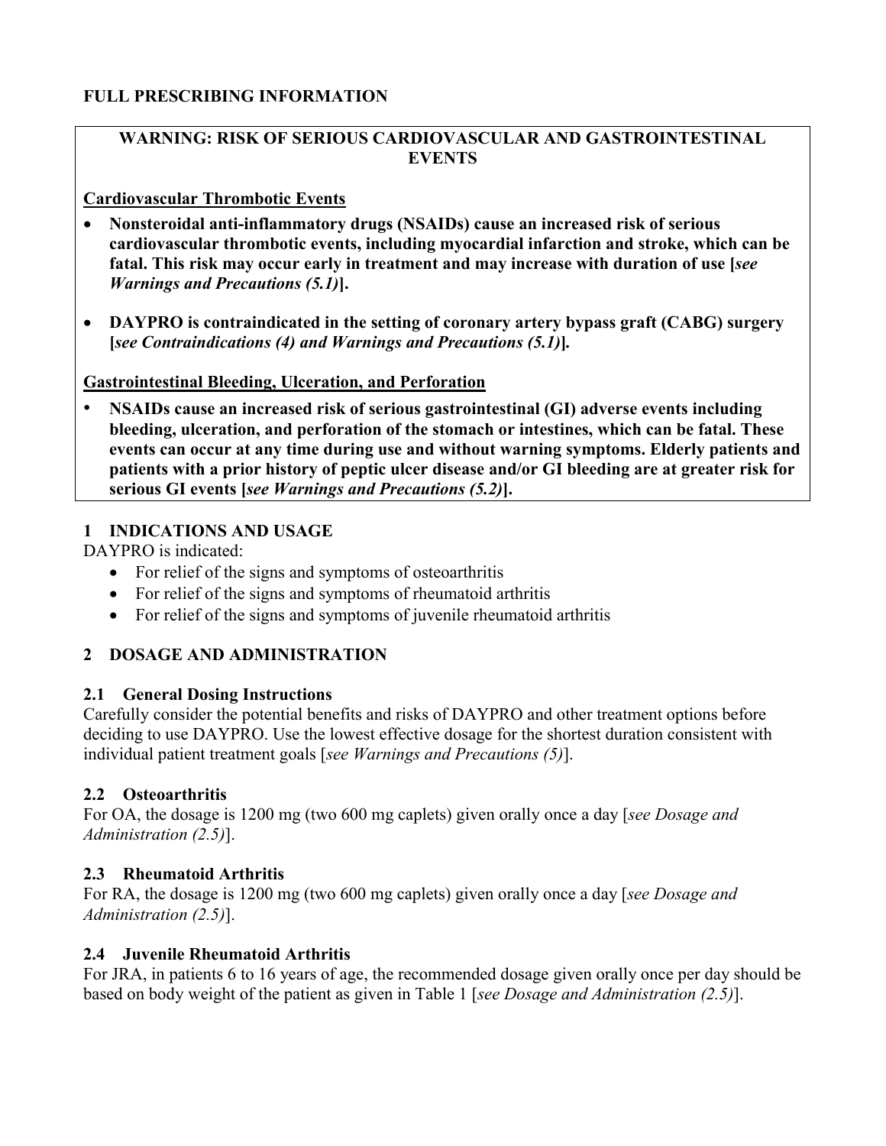# **FULL PRESCRIBING INFORMATION**

# **WARNING: RISK OF SERIOUS CARDIOVASCULAR AND GASTROINTESTINAL EVENTS**

# **Cardiovascular Thrombotic Events**

- **Nonsteroidal anti-inflammatory drugs (NSAIDs) cause an increased risk of serious cardiovascular thrombotic events, including myocardial infarction and stroke, which can be fatal. This risk may occur early in treatment and may increase with duration of use [***see Warnings and Precautions (5.1)***].**
- **DAYPRO is contraindicated in the setting of coronary artery bypass graft (CABG) surgery [***see Contraindications (4) and Warnings and Precautions (5.1)***]***.*

# **Gastrointestinal Bleeding, Ulceration, and Perforation**

• **NSAIDs cause an increased risk of serious gastrointestinal (GI) adverse events including bleeding, ulceration, and perforation of the stomach or intestines, which can be fatal. These events can occur at any time during use and without warning symptoms. Elderly patients and patients with a prior history of peptic ulcer disease and/or GI bleeding are at greater risk for serious GI events [***see Warnings and Precautions (5.2)***].**

# **1 INDICATIONS AND USAGE**

DAYPRO is indicated:

- For relief of the signs and symptoms of osteoarthritis
- For relief of the signs and symptoms of rheumatoid arthritis
- For relief of the signs and symptoms of juvenile rheumatoid arthritis

# **2 DOSAGE AND ADMINISTRATION**

# **2.1 General Dosing Instructions**

Carefully consider the potential benefits and risks of DAYPRO and other treatment options before deciding to use DAYPRO. Use the lowest effective dosage for the shortest duration consistent with individual patient treatment goals [*see Warnings and Precautions (5)*].

# **2.2 Osteoarthritis**

For OA, the dosage is 1200 mg (two 600 mg caplets) given orally once a day [*see Dosage and Administration (2.5)*].

# **2.3 Rheumatoid Arthritis**

For RA, the dosage is 1200 mg (two 600 mg caplets) given orally once a day [*see Dosage and Administration (2.5)*].

# **2.4 Juvenile Rheumatoid Arthritis**

For JRA, in patients 6 to 16 years of age, the recommended dosage given orally once per day should be based on body weight of the patient as given in Table 1 [*see Dosage and Administration (2.5)*].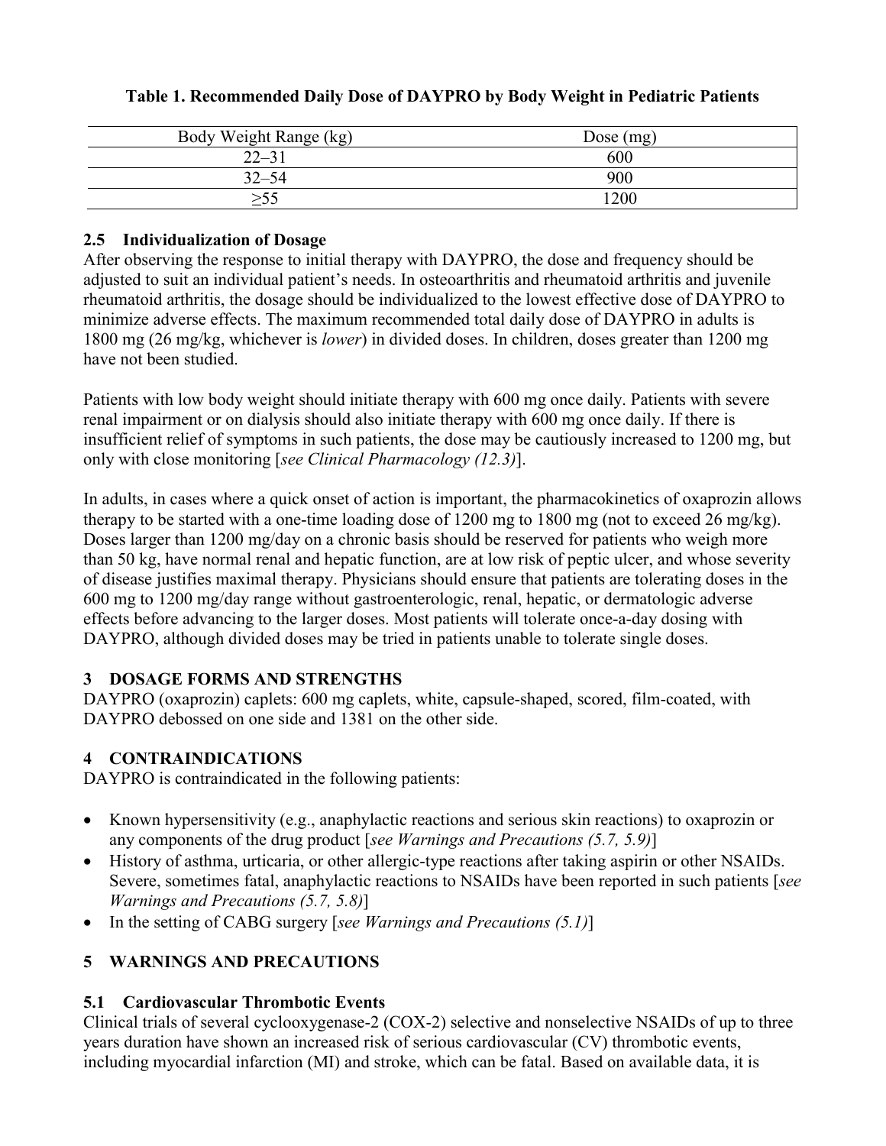| Body Weight Range (kg) | Dose $(mg)$ |
|------------------------|-------------|
| $22 - 31$              | 600         |
| $32 - 54$              | 900         |
| >55                    | 1200        |

# **Table 1. Recommended Daily Dose of DAYPRO by Body Weight in Pediatric Patients**

# **2.5 Individualization of Dosage**

After observing the response to initial therapy with DAYPRO, the dose and frequency should be adjusted to suit an individual patient's needs. In osteoarthritis and rheumatoid arthritis and juvenile rheumatoid arthritis, the dosage should be individualized to the lowest effective dose of DAYPRO to minimize adverse effects. The maximum recommended total daily dose of DAYPRO in adults is 1800 mg (26 mg/kg, whichever is *lower*) in divided doses. In children, doses greater than 1200 mg have not been studied.

Patients with low body weight should initiate therapy with 600 mg once daily. Patients with severe renal impairment or on dialysis should also initiate therapy with 600 mg once daily. If there is insufficient relief of symptoms in such patients, the dose may be cautiously increased to 1200 mg, but only with close monitoring [*see Clinical Pharmacology (12.3)*].

In adults, in cases where a quick onset of action is important, the pharmacokinetics of oxaprozin allows therapy to be started with a one-time loading dose of  $1200$  mg to  $1800$  mg (not to exceed  $26$  mg/kg). Doses larger than 1200 mg/day on a chronic basis should be reserved for patients who weigh more than 50 kg, have normal renal and hepatic function, are at low risk of peptic ulcer, and whose severity of disease justifies maximal therapy. Physicians should ensure that patients are tolerating doses in the 600 mg to 1200 mg/day range without gastroenterologic, renal, hepatic, or dermatologic adverse effects before advancing to the larger doses. Most patients will tolerate once-a-day dosing with DAYPRO, although divided doses may be tried in patients unable to tolerate single doses.

# **3 DOSAGE FORMS AND STRENGTHS**

DAYPRO (oxaprozin) caplets: 600 mg caplets, white, capsule-shaped, scored, film-coated, with DAYPRO debossed on one side and 1381 on the other side.

# **4 CONTRAINDICATIONS**

DAYPRO is contraindicated in the following patients:

- Known hypersensitivity (e.g., anaphylactic reactions and serious skin reactions) to oxaprozin or any components of the drug product [*see Warnings and Precautions (5.7, 5.9)*]
- History of asthma, urticaria, or other allergic-type reactions after taking aspirin or other NSAIDs. Severe, sometimes fatal, anaphylactic reactions to NSAIDs have been reported in such patients [*see Warnings and Precautions (5.7, 5.8)*]
- In the setting of CABG surgery [*see Warnings and Precautions (5.1)*]

# **5 WARNINGS AND PRECAUTIONS**

# **5.1 Cardiovascular Thrombotic Events**

Clinical trials of several cyclooxygenase-2 (COX-2) selective and nonselective NSAIDs of up to three years duration have shown an increased risk of serious cardiovascular (CV) thrombotic events, including myocardial infarction (MI) and stroke, which can be fatal. Based on available data, it is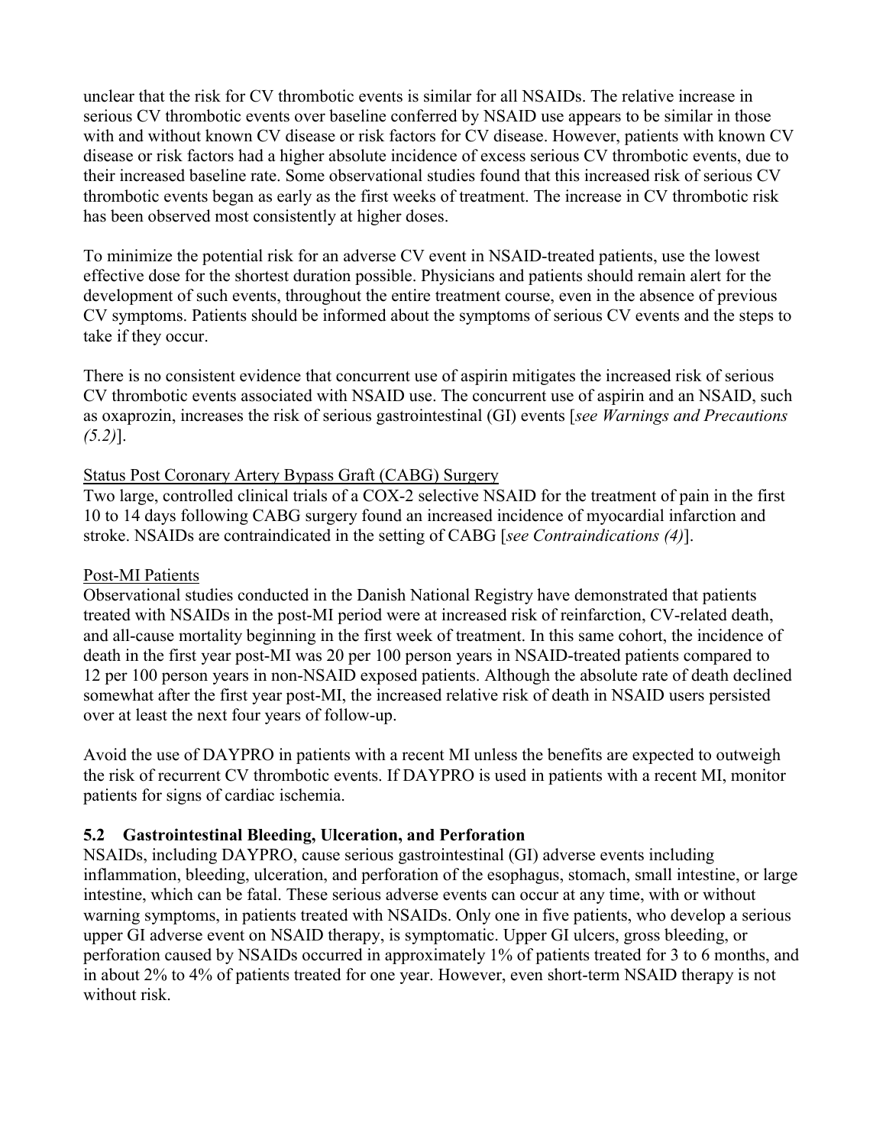unclear that the risk for CV thrombotic events is similar for all NSAIDs. The relative increase in serious CV thrombotic events over baseline conferred by NSAID use appears to be similar in those with and without known CV disease or risk factors for CV disease. However, patients with known CV disease or risk factors had a higher absolute incidence of excess serious CV thrombotic events, due to their increased baseline rate. Some observational studies found that this increased risk of serious CV thrombotic events began as early as the first weeks of treatment. The increase in CV thrombotic risk has been observed most consistently at higher doses.

To minimize the potential risk for an adverse CV event in NSAID-treated patients, use the lowest effective dose for the shortest duration possible. Physicians and patients should remain alert for the development of such events, throughout the entire treatment course, even in the absence of previous CV symptoms. Patients should be informed about the symptoms of serious CV events and the steps to take if they occur.

There is no consistent evidence that concurrent use of aspirin mitigates the increased risk of serious CV thrombotic events associated with NSAID use. The concurrent use of aspirin and an NSAID, such as oxaprozin, increases the risk of serious gastrointestinal (GI) events [*see Warnings and Precautions (5.2)*].

#### Status Post Coronary Artery Bypass Graft (CABG) Surgery

Two large, controlled clinical trials of a COX-2 selective NSAID for the treatment of pain in the first 10 to 14 days following CABG surgery found an increased incidence of myocardial infarction and stroke. NSAIDs are contraindicated in the setting of CABG [*see Contraindications (4)*].

#### Post-MI Patients

Observational studies conducted in the Danish National Registry have demonstrated that patients treated with NSAIDs in the post-MI period were at increased risk of reinfarction, CV-related death, and all-cause mortality beginning in the first week of treatment. In this same cohort, the incidence of death in the first year post-MI was 20 per 100 person years in NSAID-treated patients compared to 12 per 100 person years in non-NSAID exposed patients. Although the absolute rate of death declined somewhat after the first year post-MI, the increased relative risk of death in NSAID users persisted over at least the next four years of follow-up.

Avoid the use of DAYPRO in patients with a recent MI unless the benefits are expected to outweigh the risk of recurrent CV thrombotic events. If DAYPRO is used in patients with a recent MI, monitor patients for signs of cardiac ischemia.

# **5.2 Gastrointestinal Bleeding, Ulceration, and Perforation**

NSAIDs, including DAYPRO, cause serious gastrointestinal (GI) adverse events including inflammation, bleeding, ulceration, and perforation of the esophagus, stomach, small intestine, or large intestine, which can be fatal. These serious adverse events can occur at any time, with or without warning symptoms, in patients treated with NSAIDs. Only one in five patients, who develop a serious upper GI adverse event on NSAID therapy, is symptomatic. Upper GI ulcers, gross bleeding, or perforation caused by NSAIDs occurred in approximately 1% of patients treated for 3 to 6 months, and in about 2% to 4% of patients treated for one year. However, even short-term NSAID therapy is not without risk.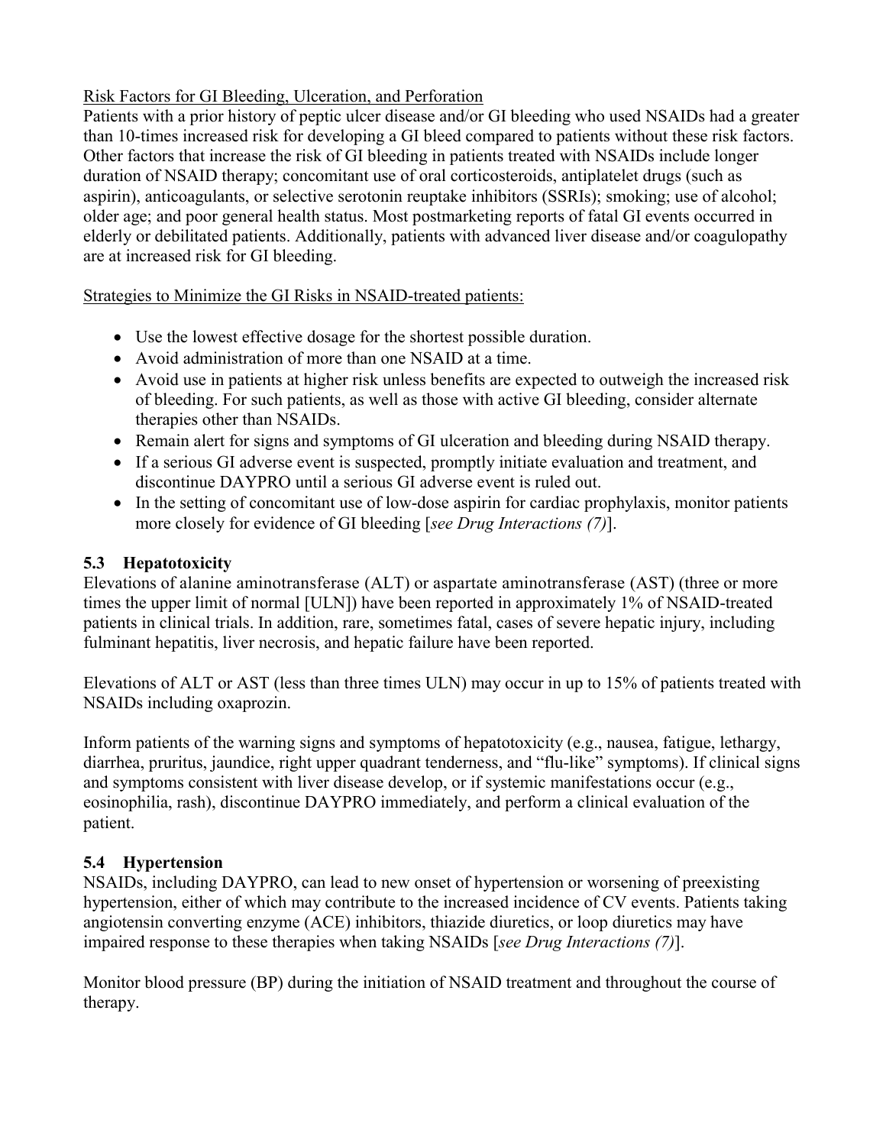# Risk Factors for GI Bleeding, Ulceration, and Perforation

Patients with a prior history of peptic ulcer disease and/or GI bleeding who used NSAIDs had a greater than 10-times increased risk for developing a GI bleed compared to patients without these risk factors. Other factors that increase the risk of GI bleeding in patients treated with NSAIDs include longer duration of NSAID therapy; concomitant use of oral corticosteroids, antiplatelet drugs (such as aspirin), anticoagulants, or selective serotonin reuptake inhibitors (SSRIs); smoking; use of alcohol; older age; and poor general health status. Most postmarketing reports of fatal GI events occurred in elderly or debilitated patients. Additionally, patients with advanced liver disease and/or coagulopathy are at increased risk for GI bleeding.

# Strategies to Minimize the GI Risks in NSAID-treated patients:

- Use the lowest effective dosage for the shortest possible duration.
- Avoid administration of more than one NSAID at a time.
- Avoid use in patients at higher risk unless benefits are expected to outweigh the increased risk of bleeding. For such patients, as well as those with active GI bleeding, consider alternate therapies other than NSAIDs.
- Remain alert for signs and symptoms of GI ulceration and bleeding during NSAID therapy.
- If a serious GI adverse event is suspected, promptly initiate evaluation and treatment, and discontinue DAYPRO until a serious GI adverse event is ruled out.
- In the setting of concomitant use of low-dose aspirin for cardiac prophylaxis, monitor patients more closely for evidence of GI bleeding [*see Drug Interactions (7)*].

# **5.3 Hepatotoxicity**

Elevations of alanine aminotransferase (ALT) or aspartate aminotransferase (AST) (three or more times the upper limit of normal [ULN]) have been reported in approximately 1% of NSAID-treated patients in clinical trials. In addition, rare, sometimes fatal, cases of severe hepatic injury, including fulminant hepatitis, liver necrosis, and hepatic failure have been reported.

Elevations of ALT or AST (less than three times ULN) may occur in up to 15% of patients treated with NSAIDs including oxaprozin.

Inform patients of the warning signs and symptoms of hepatotoxicity (e.g., nausea, fatigue, lethargy, diarrhea, pruritus, jaundice, right upper quadrant tenderness, and "flu-like" symptoms). If clinical signs and symptoms consistent with liver disease develop, or if systemic manifestations occur (e.g., eosinophilia, rash), discontinue DAYPRO immediately, and perform a clinical evaluation of the patient.

# **5.4 Hypertension**

NSAIDs, including DAYPRO, can lead to new onset of hypertension or worsening of preexisting hypertension, either of which may contribute to the increased incidence of CV events. Patients taking angiotensin converting enzyme (ACE) inhibitors, thiazide diuretics, or loop diuretics may have impaired response to these therapies when taking NSAIDs [*see Drug Interactions (7)*].

Monitor blood pressure (BP) during the initiation of NSAID treatment and throughout the course of therapy.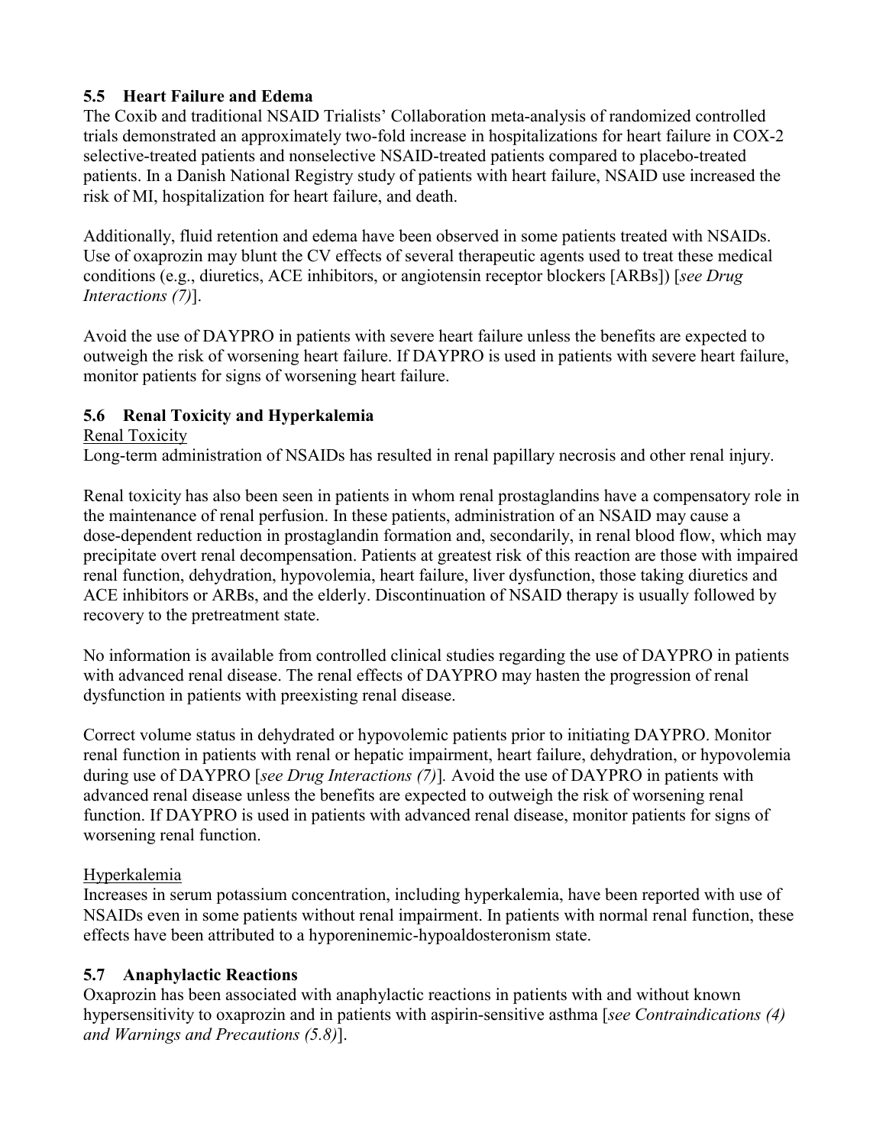# **5.5 Heart Failure and Edema**

The Coxib and traditional NSAID Trialists' Collaboration meta-analysis of randomized controlled trials demonstrated an approximately two-fold increase in hospitalizations for heart failure in COX-2 selective-treated patients and nonselective NSAID-treated patients compared to placebo-treated patients. In a Danish National Registry study of patients with heart failure, NSAID use increased the risk of MI, hospitalization for heart failure, and death.

Additionally, fluid retention and edema have been observed in some patients treated with NSAIDs. Use of oxaprozin may blunt the CV effects of several therapeutic agents used to treat these medical conditions (e.g., diuretics, ACE inhibitors, or angiotensin receptor blockers [ARBs]) [*see Drug Interactions (7)*].

Avoid the use of DAYPRO in patients with severe heart failure unless the benefits are expected to outweigh the risk of worsening heart failure. If DAYPRO is used in patients with severe heart failure, monitor patients for signs of worsening heart failure.

# **5.6 Renal Toxicity and Hyperkalemia**

Renal Toxicity

Long-term administration of NSAIDs has resulted in renal papillary necrosis and other renal injury.

Renal toxicity has also been seen in patients in whom renal prostaglandins have a compensatory role in the maintenance of renal perfusion. In these patients, administration of an NSAID may cause a dose-dependent reduction in prostaglandin formation and, secondarily, in renal blood flow, which may precipitate overt renal decompensation. Patients at greatest risk of this reaction are those with impaired renal function, dehydration, hypovolemia, heart failure, liver dysfunction, those taking diuretics and ACE inhibitors or ARBs, and the elderly. Discontinuation of NSAID therapy is usually followed by recovery to the pretreatment state.

No information is available from controlled clinical studies regarding the use of DAYPRO in patients with advanced renal disease. The renal effects of DAYPRO may hasten the progression of renal dysfunction in patients with preexisting renal disease.

Correct volume status in dehydrated or hypovolemic patients prior to initiating DAYPRO. Monitor renal function in patients with renal or hepatic impairment, heart failure, dehydration, or hypovolemia during use of DAYPRO [*see Drug Interactions (7)*]*.* Avoid the use of DAYPRO in patients with advanced renal disease unless the benefits are expected to outweigh the risk of worsening renal function. If DAYPRO is used in patients with advanced renal disease, monitor patients for signs of worsening renal function.

# Hyperkalemia

Increases in serum potassium concentration, including hyperkalemia, have been reported with use of NSAIDs even in some patients without renal impairment. In patients with normal renal function, these effects have been attributed to a hyporeninemic-hypoaldosteronism state.

# **5.7 Anaphylactic Reactions**

Oxaprozin has been associated with anaphylactic reactions in patients with and without known hypersensitivity to oxaprozin and in patients with aspirin-sensitive asthma [*see Contraindications (4) and Warnings and Precautions (5.8)*].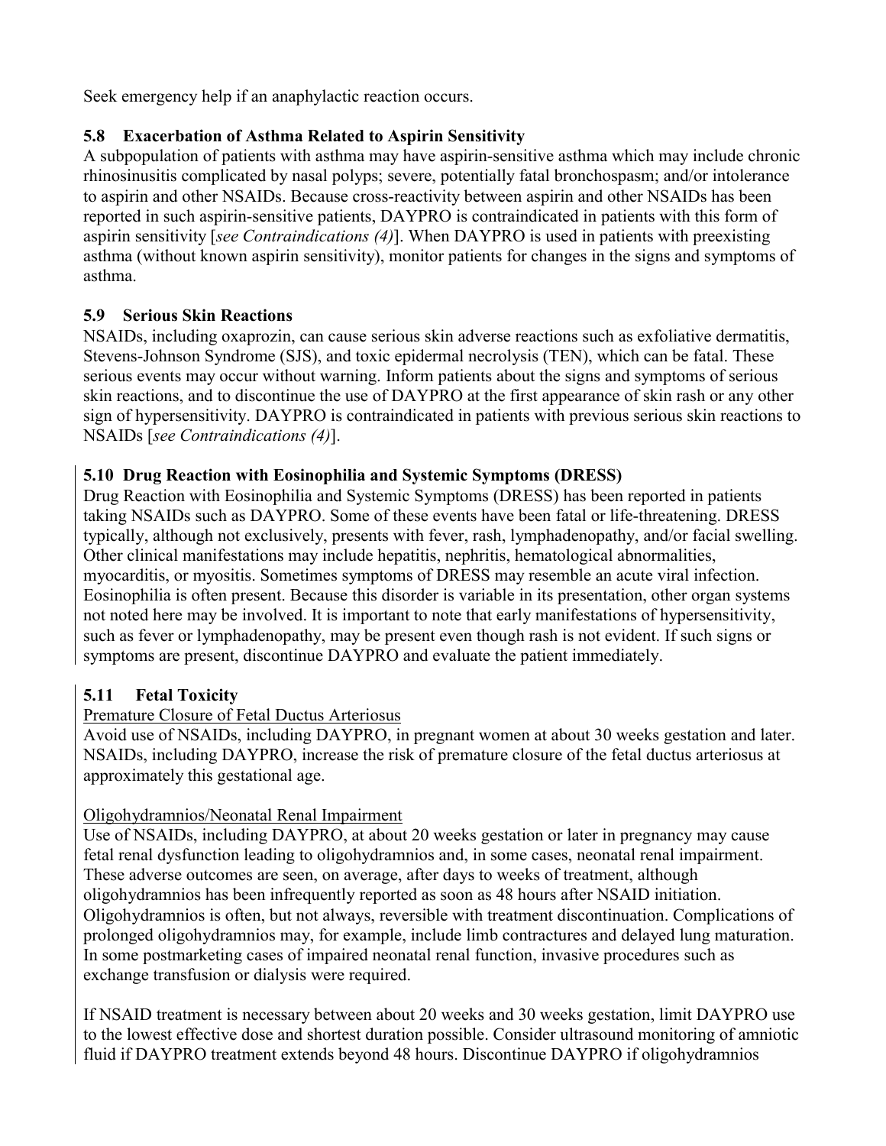Seek emergency help if an anaphylactic reaction occurs.

# **5.8 Exacerbation of Asthma Related to Aspirin Sensitivity**

A subpopulation of patients with asthma may have aspirin-sensitive asthma which may include chronic rhinosinusitis complicated by nasal polyps; severe, potentially fatal bronchospasm; and/or intolerance to aspirin and other NSAIDs. Because cross-reactivity between aspirin and other NSAIDs has been reported in such aspirin-sensitive patients, DAYPRO is contraindicated in patients with this form of aspirin sensitivity [*see Contraindications (4)*]. When DAYPRO is used in patients with preexisting asthma (without known aspirin sensitivity), monitor patients for changes in the signs and symptoms of asthma.

# **5.9 Serious Skin Reactions**

NSAIDs, including oxaprozin, can cause serious skin adverse reactions such as exfoliative dermatitis, Stevens-Johnson Syndrome (SJS), and toxic epidermal necrolysis (TEN), which can be fatal. These serious events may occur without warning. Inform patients about the signs and symptoms of serious skin reactions, and to discontinue the use of DAYPRO at the first appearance of skin rash or any other sign of hypersensitivity. DAYPRO is contraindicated in patients with previous serious skin reactions to NSAIDs [*see Contraindications (4)*].

# **5.10 Drug Reaction with Eosinophilia and Systemic Symptoms (DRESS)**

Drug Reaction with Eosinophilia and Systemic Symptoms (DRESS) has been reported in patients taking NSAIDs such as DAYPRO. Some of these events have been fatal or life-threatening. DRESS typically, although not exclusively, presents with fever, rash, lymphadenopathy, and/or facial swelling. Other clinical manifestations may include hepatitis, nephritis, hematological abnormalities, myocarditis, or myositis. Sometimes symptoms of DRESS may resemble an acute viral infection. Eosinophilia is often present. Because this disorder is variable in its presentation, other organ systems not noted here may be involved. It is important to note that early manifestations of hypersensitivity, such as fever or lymphadenopathy, may be present even though rash is not evident. If such signs or symptoms are present, discontinue DAYPRO and evaluate the patient immediately.

# **5.11 Fetal Toxicity**

# Premature Closure of Fetal Ductus Arteriosus

Avoid use of NSAIDs, including DAYPRO, in pregnant women at about 30 weeks gestation and later. NSAIDs, including DAYPRO, increase the risk of premature closure of the fetal ductus arteriosus at approximately this gestational age.

# Oligohydramnios/Neonatal Renal Impairment

Use of NSAIDs, including DAYPRO, at about 20 weeks gestation or later in pregnancy may cause fetal renal dysfunction leading to oligohydramnios and, in some cases, neonatal renal impairment. These adverse outcomes are seen, on average, after days to weeks of treatment, although oligohydramnios has been infrequently reported as soon as 48 hours after NSAID initiation. Oligohydramnios is often, but not always, reversible with treatment discontinuation. Complications of prolonged oligohydramnios may, for example, include limb contractures and delayed lung maturation. In some postmarketing cases of impaired neonatal renal function, invasive procedures such as exchange transfusion or dialysis were required.

If NSAID treatment is necessary between about 20 weeks and 30 weeks gestation, limit DAYPRO use to the lowest effective dose and shortest duration possible. Consider ultrasound monitoring of amniotic fluid if DAYPRO treatment extends beyond 48 hours. Discontinue DAYPRO if oligohydramnios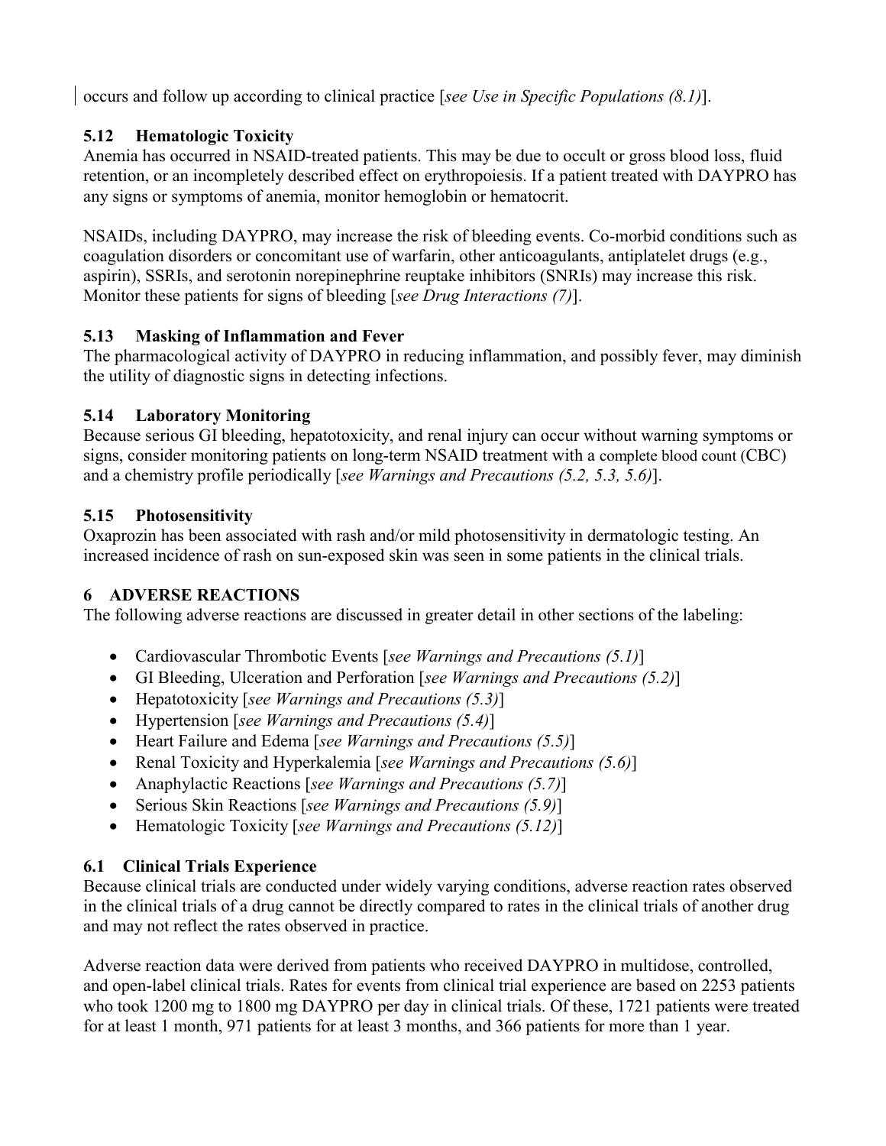occurs and follow up according to clinical practice [*see Use in Specific Populations (8.1)*].

# **5.12 Hematologic Toxicity**

Anemia has occurred in NSAID-treated patients. This may be due to occult or gross blood loss, fluid retention, or an incompletely described effect on erythropoiesis. If a patient treated with DAYPRO has any signs or symptoms of anemia, monitor hemoglobin or hematocrit.

NSAIDs, including DAYPRO, may increase the risk of bleeding events. Co-morbid conditions such as coagulation disorders or concomitant use of warfarin, other anticoagulants, antiplatelet drugs (e.g., aspirin), SSRIs, and serotonin norepinephrine reuptake inhibitors (SNRIs) may increase this risk. Monitor these patients for signs of bleeding [*see Drug Interactions (7)*].

# **5.13 Masking of Inflammation and Fever**

The pharmacological activity of DAYPRO in reducing inflammation, and possibly fever, may diminish the utility of diagnostic signs in detecting infections.

# **5.14 Laboratory Monitoring**

Because serious GI bleeding, hepatotoxicity, and renal injury can occur without warning symptoms or signs, consider monitoring patients on long-term NSAID treatment with a complete blood count (CBC) and a chemistry profile periodically [*see Warnings and Precautions (5.2, 5.3, 5.6)*].

# **5.15 Photosensitivity**

Oxaprozin has been associated with rash and/or mild photosensitivity in dermatologic testing. An increased incidence of rash on sun-exposed skin was seen in some patients in the clinical trials.

# **6 ADVERSE REACTIONS**

The following adverse reactions are discussed in greater detail in other sections of the labeling:

- Cardiovascular Thrombotic Events [*see Warnings and Precautions (5.1)*]
- GI Bleeding, Ulceration and Perforation [*see Warnings and Precautions (5.2)*]
- Hepatotoxicity [*see Warnings and Precautions (5.3)*]
- Hypertension [*see Warnings and Precautions (5.4)*]
- Heart Failure and Edema [*see Warnings and Precautions (5.5)*]
- Renal Toxicity and Hyperkalemia [*see Warnings and Precautions (5.6)*]
- Anaphylactic Reactions [*see Warnings and Precautions (5.7)*]
- Serious Skin Reactions [*see Warnings and Precautions (5.9)*]
- Hematologic Toxicity [*see Warnings and Precautions (5.12)*]

# **6.1 Clinical Trials Experience**

Because clinical trials are conducted under widely varying conditions, adverse reaction rates observed in the clinical trials of a drug cannot be directly compared to rates in the clinical trials of another drug and may not reflect the rates observed in practice.

Adverse reaction data were derived from patients who received DAYPRO in multidose, controlled, and open-label clinical trials. Rates for events from clinical trial experience are based on 2253 patients who took 1200 mg to 1800 mg DAYPRO per day in clinical trials. Of these, 1721 patients were treated for at least 1 month, 971 patients for at least 3 months, and 366 patients for more than 1 year.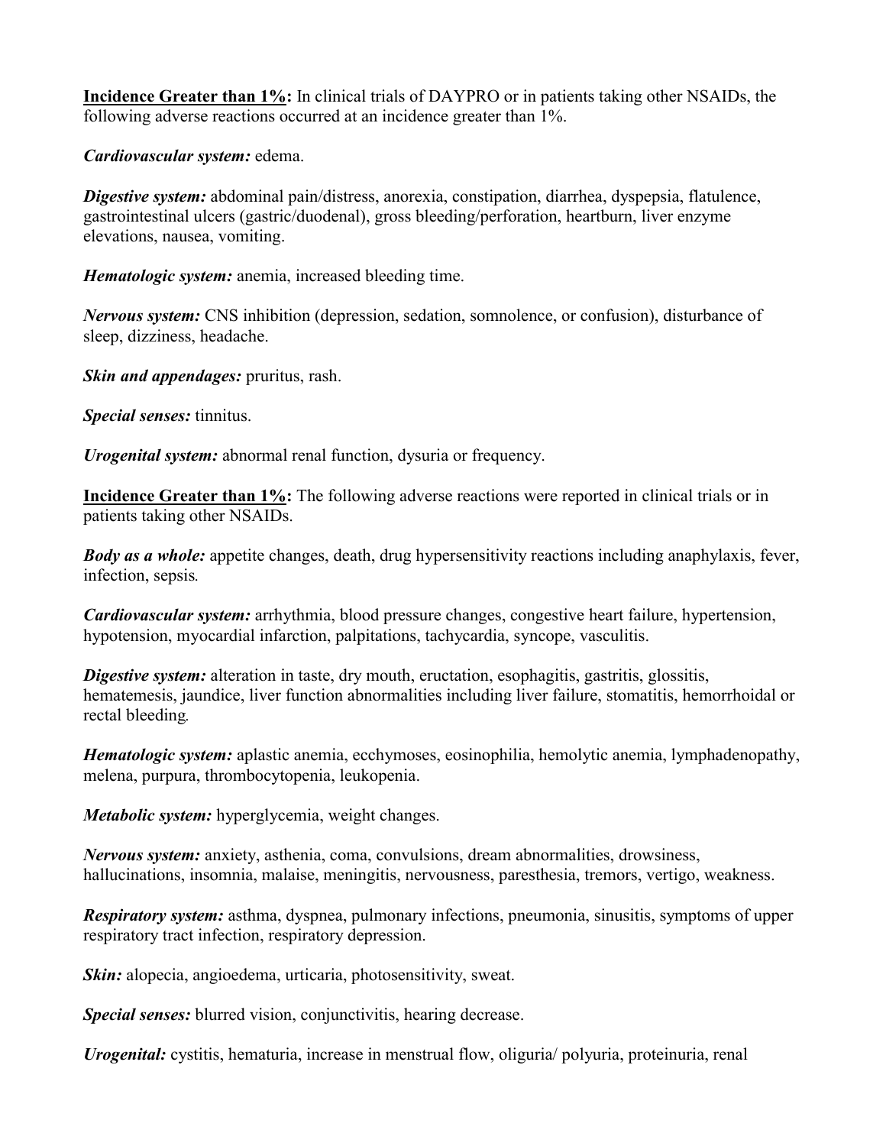**Incidence Greater than 1%:** In clinical trials of DAYPRO or in patients taking other NSAIDs, the following adverse reactions occurred at an incidence greater than 1%.

*Cardiovascular system:* edema.

*Digestive system:* abdominal pain/distress, anorexia, constipation, diarrhea, dyspepsia, flatulence, gastrointestinal ulcers (gastric/duodenal), gross bleeding/perforation, heartburn, liver enzyme elevations, nausea, vomiting.

*Hematologic system:* anemia, increased bleeding time.

*Nervous system:* CNS inhibition (depression, sedation, somnolence, or confusion), disturbance of sleep, dizziness, headache.

*Skin and appendages:* pruritus, rash.

*Special senses:* tinnitus.

*Urogenital system:* abnormal renal function, dysuria or frequency.

**Incidence Greater than 1%:** The following adverse reactions were reported in clinical trials or in patients taking other NSAIDs.

*Body as a whole:* appetite changes, death, drug hypersensitivity reactions including anaphylaxis, fever, infection, sepsis*.*

*Cardiovascular system:* arrhythmia, blood pressure changes, congestive heart failure, hypertension, hypotension, myocardial infarction, palpitations, tachycardia, syncope, vasculitis.

*Digestive system:* alteration in taste, dry mouth, eructation, esophagitis, gastritis, glossitis, hematemesis, jaundice, liver function abnormalities including liver failure, stomatitis, hemorrhoidal or rectal bleeding*.* 

*Hematologic system:* aplastic anemia, ecchymoses, eosinophilia, hemolytic anemia, lymphadenopathy, melena, purpura, thrombocytopenia, leukopenia.

*Metabolic system:* hyperglycemia, weight changes.

*Nervous system:* anxiety, asthenia, coma, convulsions, dream abnormalities, drowsiness, hallucinations, insomnia, malaise, meningitis, nervousness, paresthesia, tremors, vertigo, weakness.

*Respiratory system:* asthma, dyspnea, pulmonary infections, pneumonia, sinusitis, symptoms of upper respiratory tract infection, respiratory depression.

*Skin:* alopecia, angioedema, urticaria, photosensitivity, sweat.

*Special senses:* blurred vision, conjunctivitis, hearing decrease.

*Urogenital:* cystitis, hematuria, increase in menstrual flow, oliguria/ polyuria, proteinuria, renal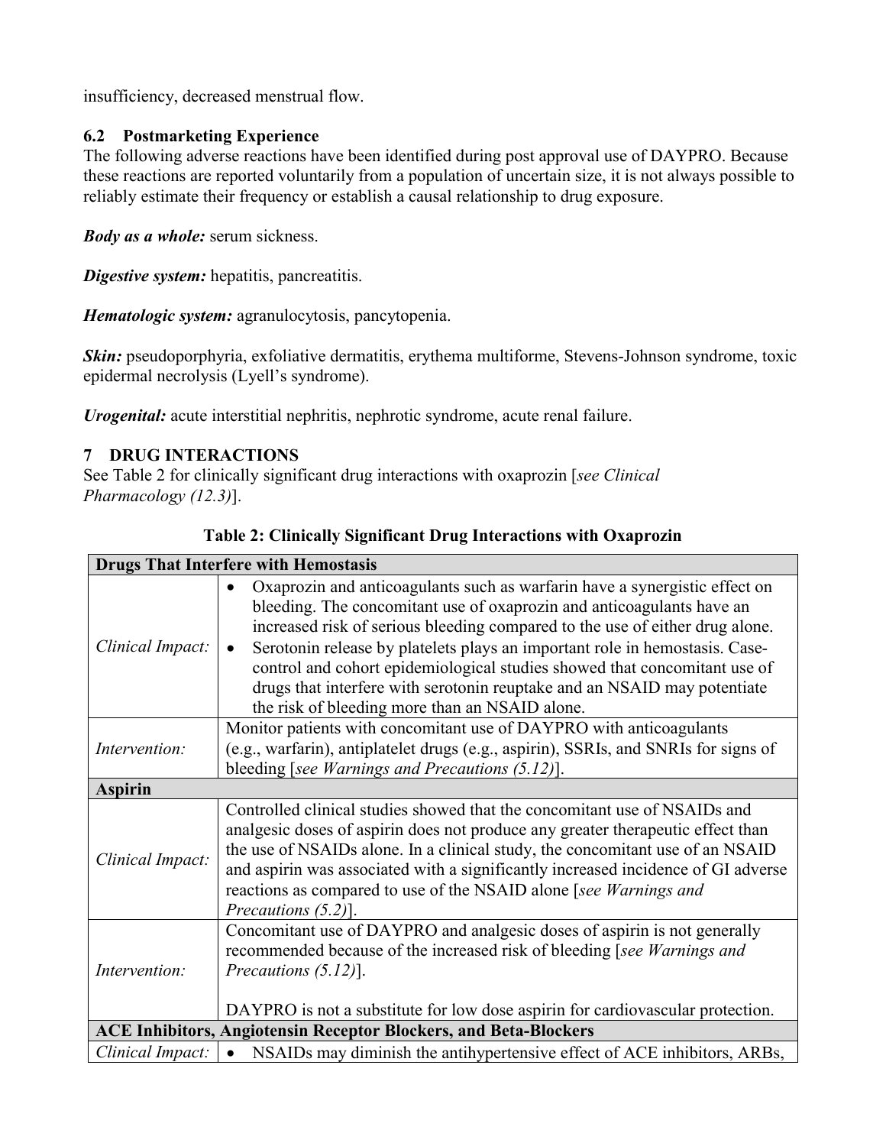insufficiency, decreased menstrual flow.

# **6.2 Postmarketing Experience**

The following adverse reactions have been identified during post approval use of DAYPRO. Because these reactions are reported voluntarily from a population of uncertain size, it is not always possible to reliably estimate their frequency or establish a causal relationship to drug exposure.

*Body as a whole:* serum sickness.

*Digestive system:* hepatitis, pancreatitis.

*Hematologic system:* agranulocytosis, pancytopenia.

**Skin:** pseudoporphyria, exfoliative dermatitis, erythema multiforme, Stevens-Johnson syndrome, toxic epidermal necrolysis (Lyell's syndrome).

*Urogenital:* acute interstitial nephritis, nephrotic syndrome, acute renal failure.

# **7 DRUG INTERACTIONS**

See Table 2 for clinically significant drug interactions with oxaprozin [*see Clinical Pharmacology (12.3)*].

| <b>Drugs That Interfere with Hemostasis</b>                             |                                                                                                                                                                                                                                                                                                                                                                                                                                                                                                                               |  |
|-------------------------------------------------------------------------|-------------------------------------------------------------------------------------------------------------------------------------------------------------------------------------------------------------------------------------------------------------------------------------------------------------------------------------------------------------------------------------------------------------------------------------------------------------------------------------------------------------------------------|--|
| Clinical Impact:                                                        | Oxaprozin and anticoagulants such as warfarin have a synergistic effect on<br>bleeding. The concomitant use of oxaprozin and anticoagulants have an<br>increased risk of serious bleeding compared to the use of either drug alone.<br>Serotonin release by platelets plays an important role in hemostasis. Case-<br>control and cohort epidemiological studies showed that concomitant use of<br>drugs that interfere with serotonin reuptake and an NSAID may potentiate<br>the risk of bleeding more than an NSAID alone. |  |
| Intervention:                                                           | Monitor patients with concomitant use of DAYPRO with anticoagulants<br>(e.g., warfarin), antiplatelet drugs (e.g., aspirin), SSRIs, and SNRIs for signs of<br>bleeding [see Warnings and Precautions $(5.12)$ ].                                                                                                                                                                                                                                                                                                              |  |
| <b>Aspirin</b>                                                          |                                                                                                                                                                                                                                                                                                                                                                                                                                                                                                                               |  |
| Clinical Impact:                                                        | Controlled clinical studies showed that the concomitant use of NSAIDs and<br>analgesic doses of aspirin does not produce any greater therapeutic effect than<br>the use of NSAIDs alone. In a clinical study, the concomitant use of an NSAID<br>and aspirin was associated with a significantly increased incidence of GI adverse<br>reactions as compared to use of the NSAID alone [see Warnings and<br>Precautions $(5.2)$ ].                                                                                             |  |
| Intervention:                                                           | Concomitant use of DAYPRO and analgesic doses of aspirin is not generally<br>recommended because of the increased risk of bleeding [see Warnings and<br>Precautions $(5.12)$ ].<br>DAYPRO is not a substitute for low dose aspirin for cardiovascular protection.                                                                                                                                                                                                                                                             |  |
| <b>ACE Inhibitors, Angiotensin Receptor Blockers, and Beta-Blockers</b> |                                                                                                                                                                                                                                                                                                                                                                                                                                                                                                                               |  |
| Clinical Impact:                                                        | • NSAIDs may diminish the antihypertensive effect of ACE inhibitors, ARBs,                                                                                                                                                                                                                                                                                                                                                                                                                                                    |  |

# **Table 2: Clinically Significant Drug Interactions with Oxaprozin**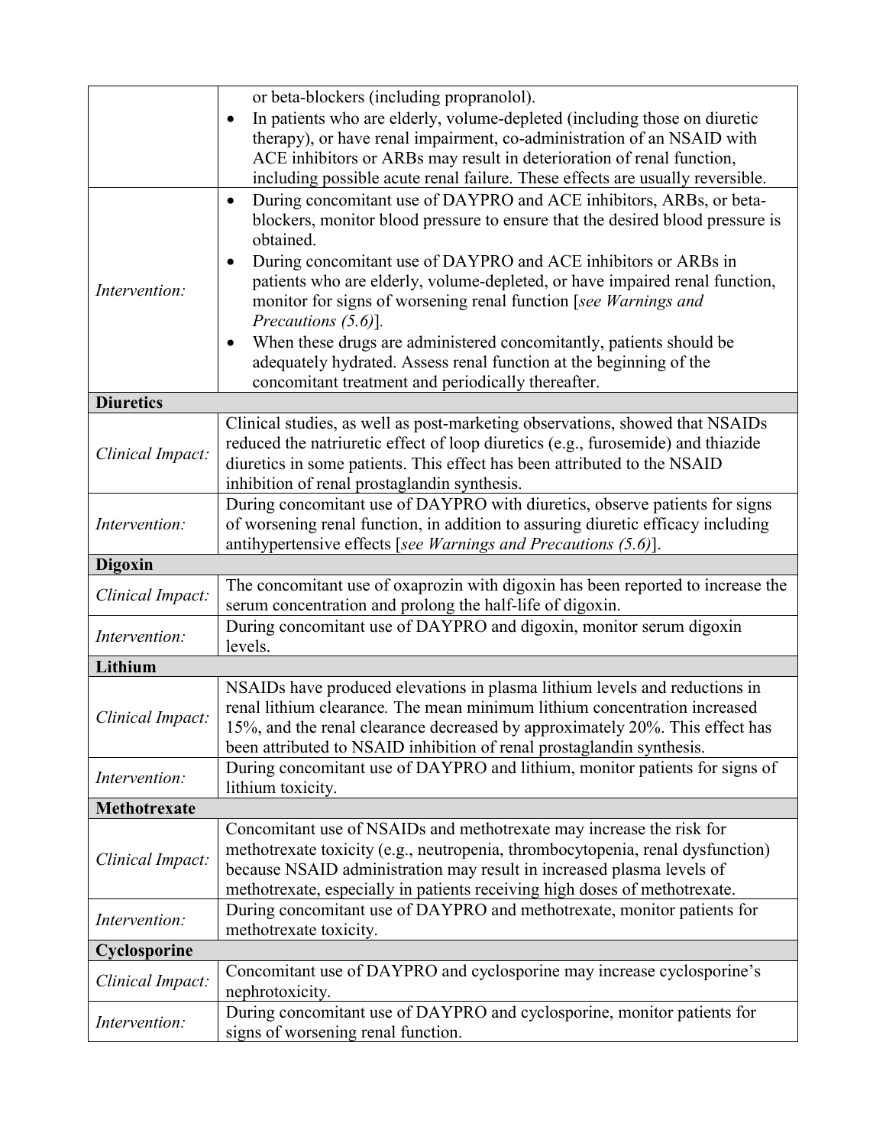|                                                                     | or beta-blockers (including propranolol).                                                                     |  |  |
|---------------------------------------------------------------------|---------------------------------------------------------------------------------------------------------------|--|--|
|                                                                     | In patients who are elderly, volume-depleted (including those on diuretic                                     |  |  |
|                                                                     | therapy), or have renal impairment, co-administration of an NSAID with                                        |  |  |
|                                                                     | ACE inhibitors or ARBs may result in deterioration of renal function,                                         |  |  |
|                                                                     | including possible acute renal failure. These effects are usually reversible.                                 |  |  |
|                                                                     | During concomitant use of DAYPRO and ACE inhibitors, ARBs, or beta-<br>$\bullet$                              |  |  |
|                                                                     | blockers, monitor blood pressure to ensure that the desired blood pressure is                                 |  |  |
|                                                                     | obtained.                                                                                                     |  |  |
|                                                                     | During concomitant use of DAYPRO and ACE inhibitors or ARBs in<br>$\bullet$                                   |  |  |
| Intervention:                                                       | patients who are elderly, volume-depleted, or have impaired renal function,                                   |  |  |
|                                                                     | monitor for signs of worsening renal function [see Warnings and                                               |  |  |
|                                                                     | Precautions $(5.6)$ ].                                                                                        |  |  |
|                                                                     | When these drugs are administered concomitantly, patients should be<br>$\bullet$                              |  |  |
|                                                                     | adequately hydrated. Assess renal function at the beginning of the                                            |  |  |
|                                                                     | concomitant treatment and periodically thereafter.                                                            |  |  |
| <b>Diuretics</b>                                                    |                                                                                                               |  |  |
|                                                                     | Clinical studies, as well as post-marketing observations, showed that NSAIDs                                  |  |  |
|                                                                     | reduced the natriuretic effect of loop diuretics (e.g., furosemide) and thiazide                              |  |  |
| Clinical Impact:                                                    | diuretics in some patients. This effect has been attributed to the NSAID                                      |  |  |
|                                                                     | inhibition of renal prostaglandin synthesis.                                                                  |  |  |
|                                                                     | During concomitant use of DAYPRO with diuretics, observe patients for signs                                   |  |  |
| Intervention:                                                       | of worsening renal function, in addition to assuring diuretic efficacy including                              |  |  |
|                                                                     | antihypertensive effects [see Warnings and Precautions $(5.6)$ ].                                             |  |  |
| <b>Digoxin</b>                                                      |                                                                                                               |  |  |
|                                                                     | The concomitant use of oxaprozin with digoxin has been reported to increase the                               |  |  |
| Clinical Impact:                                                    | serum concentration and prolong the half-life of digoxin.                                                     |  |  |
| During concomitant use of DAYPRO and digoxin, monitor serum digoxin |                                                                                                               |  |  |
| Intervention:                                                       | levels.                                                                                                       |  |  |
| Lithium                                                             |                                                                                                               |  |  |
|                                                                     | NSAIDs have produced elevations in plasma lithium levels and reductions in                                    |  |  |
|                                                                     | renal lithium clearance. The mean minimum lithium concentration increased                                     |  |  |
| Clinical Impact:                                                    | 15%, and the renal clearance decreased by approximately 20%. This effect has                                  |  |  |
|                                                                     | been attributed to NSAID inhibition of renal prostaglandin synthesis.                                         |  |  |
|                                                                     | During concomitant use of DAYPRO and lithium, monitor patients for signs of                                   |  |  |
| Intervention:                                                       | lithium toxicity.                                                                                             |  |  |
| Methotrexate                                                        |                                                                                                               |  |  |
|                                                                     |                                                                                                               |  |  |
|                                                                     |                                                                                                               |  |  |
|                                                                     | Concomitant use of NSAIDs and methotrexate may increase the risk for                                          |  |  |
| Clinical Impact:                                                    | methotrexate toxicity (e.g., neutropenia, thrombocytopenia, renal dysfunction)                                |  |  |
|                                                                     | because NSAID administration may result in increased plasma levels of                                         |  |  |
|                                                                     | methotrexate, especially in patients receiving high doses of methotrexate.                                    |  |  |
| Intervention:                                                       | During concomitant use of DAYPRO and methotrexate, monitor patients for                                       |  |  |
|                                                                     | methotrexate toxicity.                                                                                        |  |  |
| Cyclosporine                                                        |                                                                                                               |  |  |
| Clinical Impact:                                                    | Concomitant use of DAYPRO and cyclosporine may increase cyclosporine's                                        |  |  |
|                                                                     | nephrotoxicity.                                                                                               |  |  |
| Intervention:                                                       | During concomitant use of DAYPRO and cyclosporine, monitor patients for<br>signs of worsening renal function. |  |  |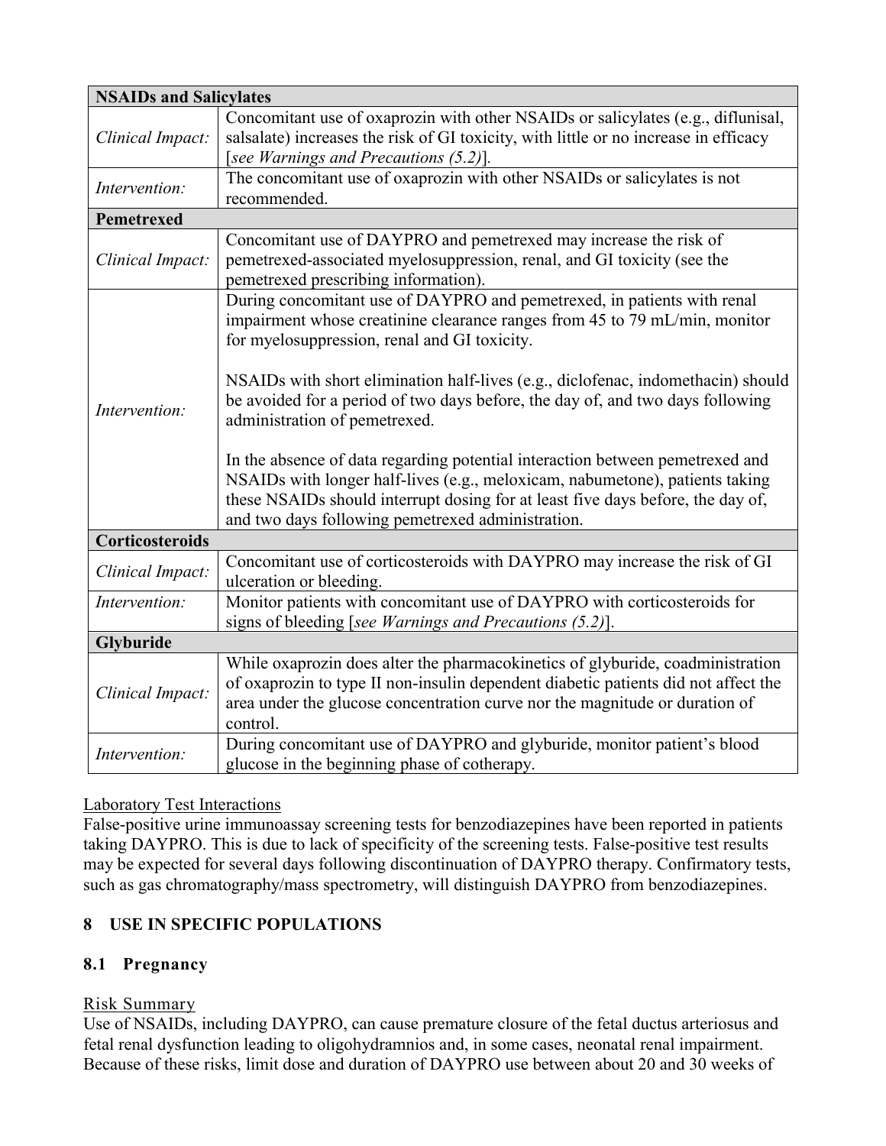| <b>NSAIDs and Salicylates</b> |                                                                                      |  |
|-------------------------------|--------------------------------------------------------------------------------------|--|
|                               | Concomitant use of oxaprozin with other NSAIDs or salicylates (e.g., diflunisal,     |  |
| Clinical Impact:              | salsalate) increases the risk of GI toxicity, with little or no increase in efficacy |  |
|                               | [see Warnings and Precautions (5.2)].                                                |  |
| Intervention:                 | The concomitant use of oxaprozin with other NSAIDs or salicylates is not             |  |
|                               | recommended.                                                                         |  |
| Pemetrexed                    |                                                                                      |  |
|                               | Concomitant use of DAYPRO and pemetrexed may increase the risk of                    |  |
| Clinical Impact:              | pemetrexed-associated myelosuppression, renal, and GI toxicity (see the              |  |
|                               | pemetrexed prescribing information).                                                 |  |
|                               | During concomitant use of DAYPRO and pemetrexed, in patients with renal              |  |
|                               | impairment whose creatinine clearance ranges from 45 to 79 mL/min, monitor           |  |
|                               | for myelosuppression, renal and GI toxicity.                                         |  |
|                               |                                                                                      |  |
|                               | NSAIDs with short elimination half-lives (e.g., diclofenac, indomethacin) should     |  |
| Intervention:                 | be avoided for a period of two days before, the day of, and two days following       |  |
|                               | administration of pemetrexed.                                                        |  |
|                               |                                                                                      |  |
|                               | In the absence of data regarding potential interaction between pemetrexed and        |  |
|                               | NSAIDs with longer half-lives (e.g., meloxicam, nabumetone), patients taking         |  |
|                               | these NSAIDs should interrupt dosing for at least five days before, the day of,      |  |
| Corticosteroids               | and two days following pemetrexed administration.                                    |  |
|                               | Concomitant use of corticosteroids with DAYPRO may increase the risk of GI           |  |
| Clinical Impact:              | ulceration or bleeding.                                                              |  |
| Intervention:                 | Monitor patients with concomitant use of DAYPRO with corticosteroids for             |  |
|                               | signs of bleeding [see Warnings and Precautions (5.2)].                              |  |
| Glyburide                     |                                                                                      |  |
|                               | While oxaprozin does alter the pharmacokinetics of glyburide, coadministration       |  |
| Clinical Impact:              | of oxaprozin to type II non-insulin dependent diabetic patients did not affect the   |  |
|                               | area under the glucose concentration curve nor the magnitude or duration of          |  |
|                               | control.                                                                             |  |
|                               | During concomitant use of DAYPRO and glyburide, monitor patient's blood              |  |
| Intervention:                 | glucose in the beginning phase of cotherapy.                                         |  |

# Laboratory Test Interactions

False-positive urine immunoassay screening tests for benzodiazepines have been reported in patients taking DAYPRO. This is due to lack of specificity of the screening tests. False-positive test results may be expected for several days following discontinuation of DAYPRO therapy. Confirmatory tests, such as gas chromatography/mass spectrometry, will distinguish DAYPRO from benzodiazepines.

# **8 USE IN SPECIFIC POPULATIONS**

# **8.1 Pregnancy**

# Risk Summary

Use of NSAIDs, including DAYPRO, can cause premature closure of the fetal ductus arteriosus and fetal renal dysfunction leading to oligohydramnios and, in some cases, neonatal renal impairment. Because of these risks, limit dose and duration of DAYPRO use between about 20 and 30 weeks of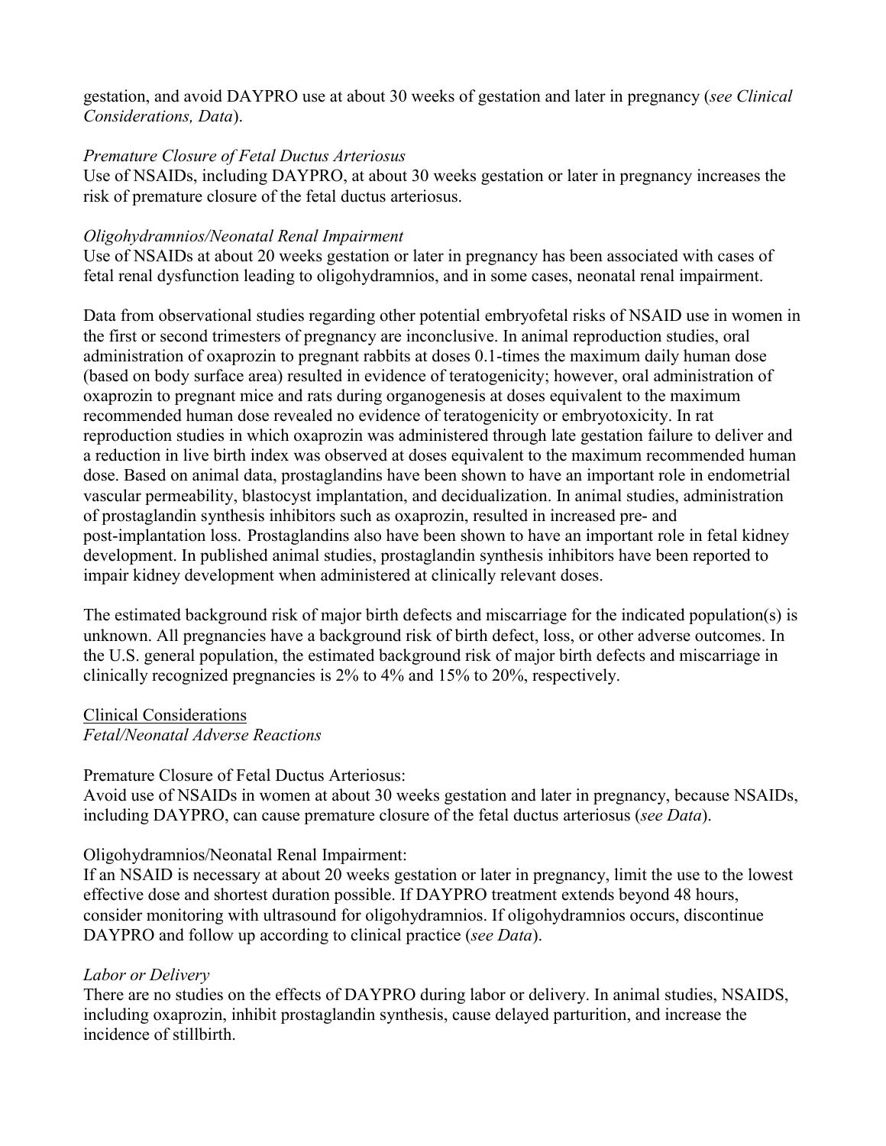gestation, and avoid DAYPRO use at about 30 weeks of gestation and later in pregnancy (*see Clinical Considerations, Data*).

### *Premature Closure of Fetal Ductus Arteriosus*

Use of NSAIDs, including DAYPRO, at about 30 weeks gestation or later in pregnancy increases the risk of premature closure of the fetal ductus arteriosus.

#### *Oligohydramnios/Neonatal Renal Impairment*

Use of NSAIDs at about 20 weeks gestation or later in pregnancy has been associated with cases of fetal renal dysfunction leading to oligohydramnios, and in some cases, neonatal renal impairment.

Data from observational studies regarding other potential embryofetal risks of NSAID use in women in the first or second trimesters of pregnancy are inconclusive. In animal reproduction studies, oral administration of oxaprozin to pregnant rabbits at doses 0.1-times the maximum daily human dose (based on body surface area) resulted in evidence of teratogenicity; however, oral administration of oxaprozin to pregnant mice and rats during organogenesis at doses equivalent to the maximum recommended human dose revealed no evidence of teratogenicity or embryotoxicity. In rat reproduction studies in which oxaprozin was administered through late gestation failure to deliver and a reduction in live birth index was observed at doses equivalent to the maximum recommended human dose. Based on animal data, prostaglandins have been shown to have an important role in endometrial vascular permeability, blastocyst implantation, and decidualization. In animal studies, administration of prostaglandin synthesis inhibitors such as oxaprozin, resulted in increased pre- and post-implantation loss. Prostaglandins also have been shown to have an important role in fetal kidney development. In published animal studies, prostaglandin synthesis inhibitors have been reported to impair kidney development when administered at clinically relevant doses.

The estimated background risk of major birth defects and miscarriage for the indicated population(s) is unknown. All pregnancies have a background risk of birth defect, loss, or other adverse outcomes. In the U.S. general population, the estimated background risk of major birth defects and miscarriage in clinically recognized pregnancies is 2% to 4% and 15% to 20%, respectively.

Clinical Considerations *Fetal/Neonatal Adverse Reactions*

Premature Closure of Fetal Ductus Arteriosus:

Avoid use of NSAIDs in women at about 30 weeks gestation and later in pregnancy, because NSAIDs, including DAYPRO, can cause premature closure of the fetal ductus arteriosus (*see Data*).

# Oligohydramnios/Neonatal Renal Impairment:

If an NSAID is necessary at about 20 weeks gestation or later in pregnancy, limit the use to the lowest effective dose and shortest duration possible. If DAYPRO treatment extends beyond 48 hours, consider monitoring with ultrasound for oligohydramnios. If oligohydramnios occurs, discontinue DAYPRO and follow up according to clinical practice (*see Data*).

# *Labor or Delivery*

There are no studies on the effects of DAYPRO during labor or delivery. In animal studies, NSAIDS, including oxaprozin, inhibit prostaglandin synthesis, cause delayed parturition, and increase the incidence of stillbirth.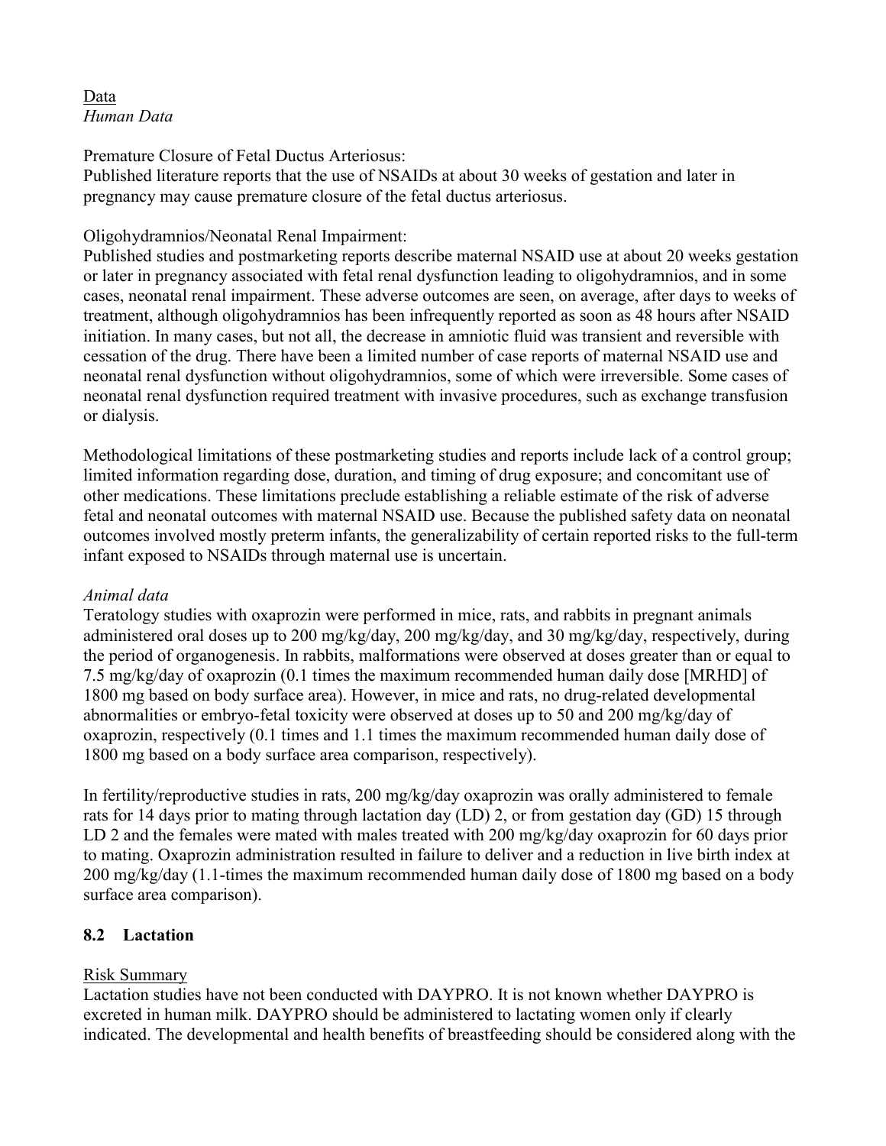# Data *Human Data*

Premature Closure of Fetal Ductus Arteriosus:

Published literature reports that the use of NSAIDs at about 30 weeks of gestation and later in pregnancy may cause premature closure of the fetal ductus arteriosus.

### Oligohydramnios/Neonatal Renal Impairment:

Published studies and postmarketing reports describe maternal NSAID use at about 20 weeks gestation or later in pregnancy associated with fetal renal dysfunction leading to oligohydramnios, and in some cases, neonatal renal impairment. These adverse outcomes are seen, on average, after days to weeks of treatment, although oligohydramnios has been infrequently reported as soon as 48 hours after NSAID initiation. In many cases, but not all, the decrease in amniotic fluid was transient and reversible with cessation of the drug. There have been a limited number of case reports of maternal NSAID use and neonatal renal dysfunction without oligohydramnios, some of which were irreversible. Some cases of neonatal renal dysfunction required treatment with invasive procedures, such as exchange transfusion or dialysis.

Methodological limitations of these postmarketing studies and reports include lack of a control group; limited information regarding dose, duration, and timing of drug exposure; and concomitant use of other medications. These limitations preclude establishing a reliable estimate of the risk of adverse fetal and neonatal outcomes with maternal NSAID use. Because the published safety data on neonatal outcomes involved mostly preterm infants, the generalizability of certain reported risks to the full-term infant exposed to NSAIDs through maternal use is uncertain.

# *Animal data*

Teratology studies with oxaprozin were performed in mice, rats, and rabbits in pregnant animals administered oral doses up to 200 mg/kg/day, 200 mg/kg/day, and 30 mg/kg/day, respectively, during the period of organogenesis. In rabbits, malformations were observed at doses greater than or equal to 7.5 mg/kg/day of oxaprozin (0.1 times the maximum recommended human daily dose [MRHD] of 1800 mg based on body surface area). However, in mice and rats, no drug-related developmental abnormalities or embryo-fetal toxicity were observed at doses up to 50 and 200 mg/kg/day of oxaprozin, respectively (0.1 times and 1.1 times the maximum recommended human daily dose of 1800 mg based on a body surface area comparison, respectively).

In fertility/reproductive studies in rats, 200 mg/kg/day oxaprozin was orally administered to female rats for 14 days prior to mating through lactation day (LD) 2, or from gestation day (GD) 15 through LD 2 and the females were mated with males treated with 200 mg/kg/day oxaprozin for 60 days prior to mating. Oxaprozin administration resulted in failure to deliver and a reduction in live birth index at 200 mg/kg/day (1.1-times the maximum recommended human daily dose of 1800 mg based on a body surface area comparison).

# **8.2 Lactation**

# Risk Summary

Lactation studies have not been conducted with DAYPRO. It is not known whether DAYPRO is excreted in human milk. DAYPRO should be administered to lactating women only if clearly indicated. The developmental and health benefits of breastfeeding should be considered along with the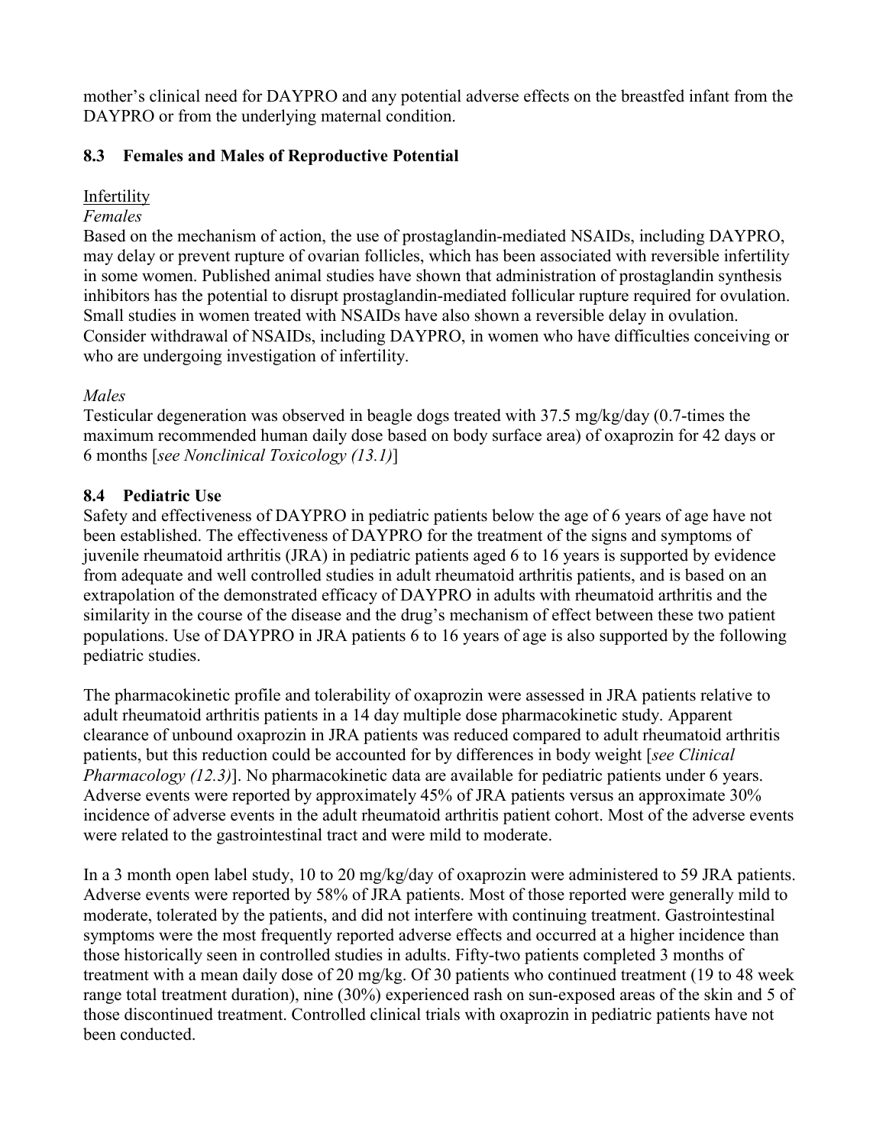mother's clinical need for DAYPRO and any potential adverse effects on the breastfed infant from the DAYPRO or from the underlying maternal condition.

# **8.3 Females and Males of Reproductive Potential**

# Infertility

### *Females*

Based on the mechanism of action, the use of prostaglandin-mediated NSAIDs, including DAYPRO, may delay or prevent rupture of ovarian follicles, which has been associated with reversible infertility in some women. Published animal studies have shown that administration of prostaglandin synthesis inhibitors has the potential to disrupt prostaglandin-mediated follicular rupture required for ovulation. Small studies in women treated with NSAIDs have also shown a reversible delay in ovulation. Consider withdrawal of NSAIDs, including DAYPRO, in women who have difficulties conceiving or who are undergoing investigation of infertility.

# *Males*

Testicular degeneration was observed in beagle dogs treated with 37.5 mg/kg/day (0.7-times the maximum recommended human daily dose based on body surface area) of oxaprozin for 42 days or 6 months [*see Nonclinical Toxicology (13.1)*]

# **8.4 Pediatric Use**

Safety and effectiveness of DAYPRO in pediatric patients below the age of 6 years of age have not been established. The effectiveness of DAYPRO for the treatment of the signs and symptoms of juvenile rheumatoid arthritis (JRA) in pediatric patients aged 6 to 16 years is supported by evidence from adequate and well controlled studies in adult rheumatoid arthritis patients, and is based on an extrapolation of the demonstrated efficacy of DAYPRO in adults with rheumatoid arthritis and the similarity in the course of the disease and the drug's mechanism of effect between these two patient populations. Use of DAYPRO in JRA patients 6 to 16 years of age is also supported by the following pediatric studies.

The pharmacokinetic profile and tolerability of oxaprozin were assessed in JRA patients relative to adult rheumatoid arthritis patients in a 14 day multiple dose pharmacokinetic study. Apparent clearance of unbound oxaprozin in JRA patients was reduced compared to adult rheumatoid arthritis patients, but this reduction could be accounted for by differences in body weight [*see Clinical Pharmacology (12.3)*]. No pharmacokinetic data are available for pediatric patients under 6 years. Adverse events were reported by approximately 45% of JRA patients versus an approximate 30% incidence of adverse events in the adult rheumatoid arthritis patient cohort. Most of the adverse events were related to the gastrointestinal tract and were mild to moderate.

In a 3 month open label study, 10 to 20 mg/kg/day of oxaprozin were administered to 59 JRA patients. Adverse events were reported by 58% of JRA patients. Most of those reported were generally mild to moderate, tolerated by the patients, and did not interfere with continuing treatment. Gastrointestinal symptoms were the most frequently reported adverse effects and occurred at a higher incidence than those historically seen in controlled studies in adults. Fifty-two patients completed 3 months of treatment with a mean daily dose of 20 mg/kg. Of 30 patients who continued treatment (19 to 48 week range total treatment duration), nine (30%) experienced rash on sun-exposed areas of the skin and 5 of those discontinued treatment. Controlled clinical trials with oxaprozin in pediatric patients have not been conducted.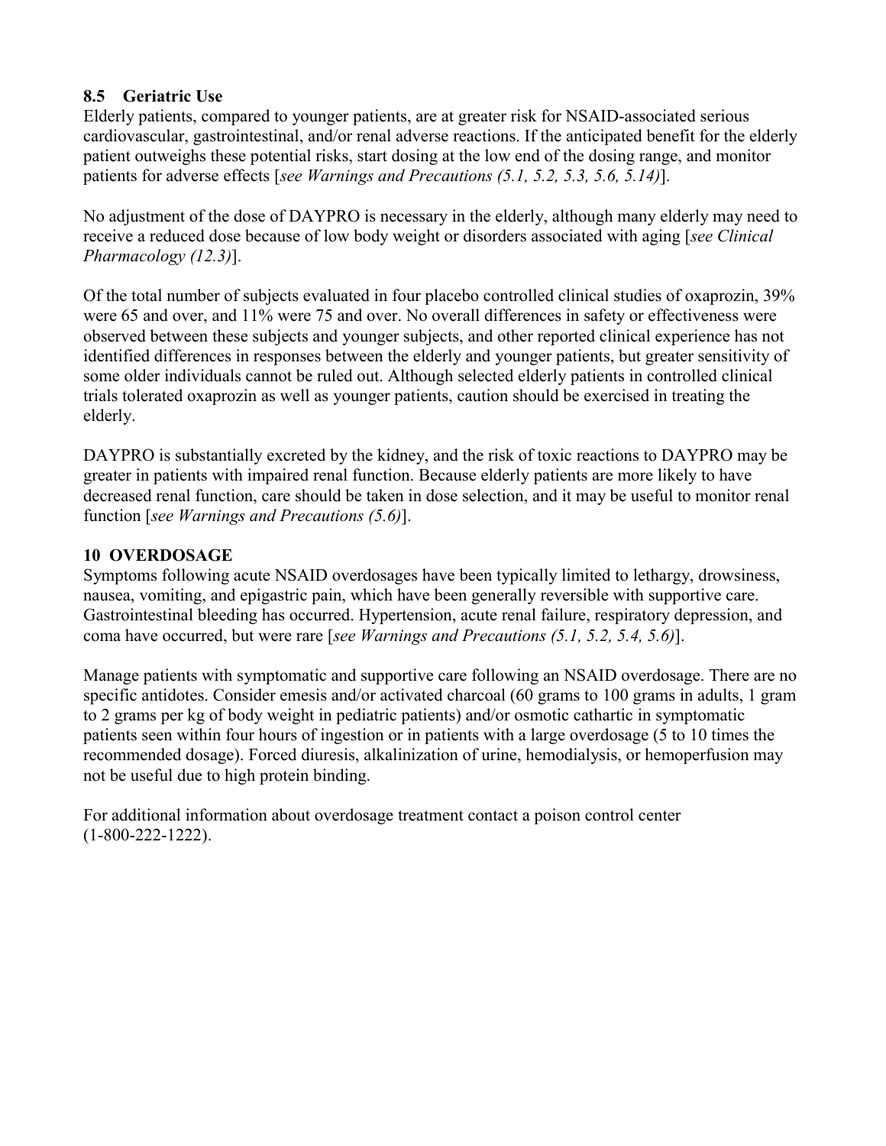# **8.5 Geriatric Use**

Elderly patients, compared to younger patients, are at greater risk for NSAID-associated serious cardiovascular, gastrointestinal, and/or renal adverse reactions. If the anticipated benefit for the elderly patient outweighs these potential risks, start dosing at the low end of the dosing range, and monitor patients for adverse effects [*see Warnings and Precautions (5.1, 5.2, 5.3, 5.6, 5.14)*].

No adjustment of the dose of DAYPRO is necessary in the elderly, although many elderly may need to receive a reduced dose because of low body weight or disorders associated with aging [*see Clinical Pharmacology (12.3)*].

Of the total number of subjects evaluated in four placebo controlled clinical studies of oxaprozin, 39% were 65 and over, and 11% were 75 and over. No overall differences in safety or effectiveness were observed between these subjects and younger subjects, and other reported clinical experience has not identified differences in responses between the elderly and younger patients, but greater sensitivity of some older individuals cannot be ruled out. Although selected elderly patients in controlled clinical trials tolerated oxaprozin as well as younger patients, caution should be exercised in treating the elderly.

DAYPRO is substantially excreted by the kidney, and the risk of toxic reactions to DAYPRO may be greater in patients with impaired renal function. Because elderly patients are more likely to have decreased renal function, care should be taken in dose selection, and it may be useful to monitor renal function [*see Warnings and Precautions (5.6)*].

# **10 OVERDOSAGE**

Symptoms following acute NSAID overdosages have been typically limited to lethargy, drowsiness, nausea, vomiting, and epigastric pain, which have been generally reversible with supportive care. Gastrointestinal bleeding has occurred. Hypertension, acute renal failure, respiratory depression, and coma have occurred, but were rare [*see Warnings and Precautions (5.1, 5.2, 5.4, 5.6)*].

Manage patients with symptomatic and supportive care following an NSAID overdosage. There are no specific antidotes. Consider emesis and/or activated charcoal (60 grams to 100 grams in adults, 1 gram to 2 grams per kg of body weight in pediatric patients) and/or osmotic cathartic in symptomatic patients seen within four hours of ingestion or in patients with a large overdosage (5 to 10 times the recommended dosage). Forced diuresis, alkalinization of urine, hemodialysis, or hemoperfusion may not be useful due to high protein binding.

For additional information about overdosage treatment contact a poison control center (1-800-222-1222).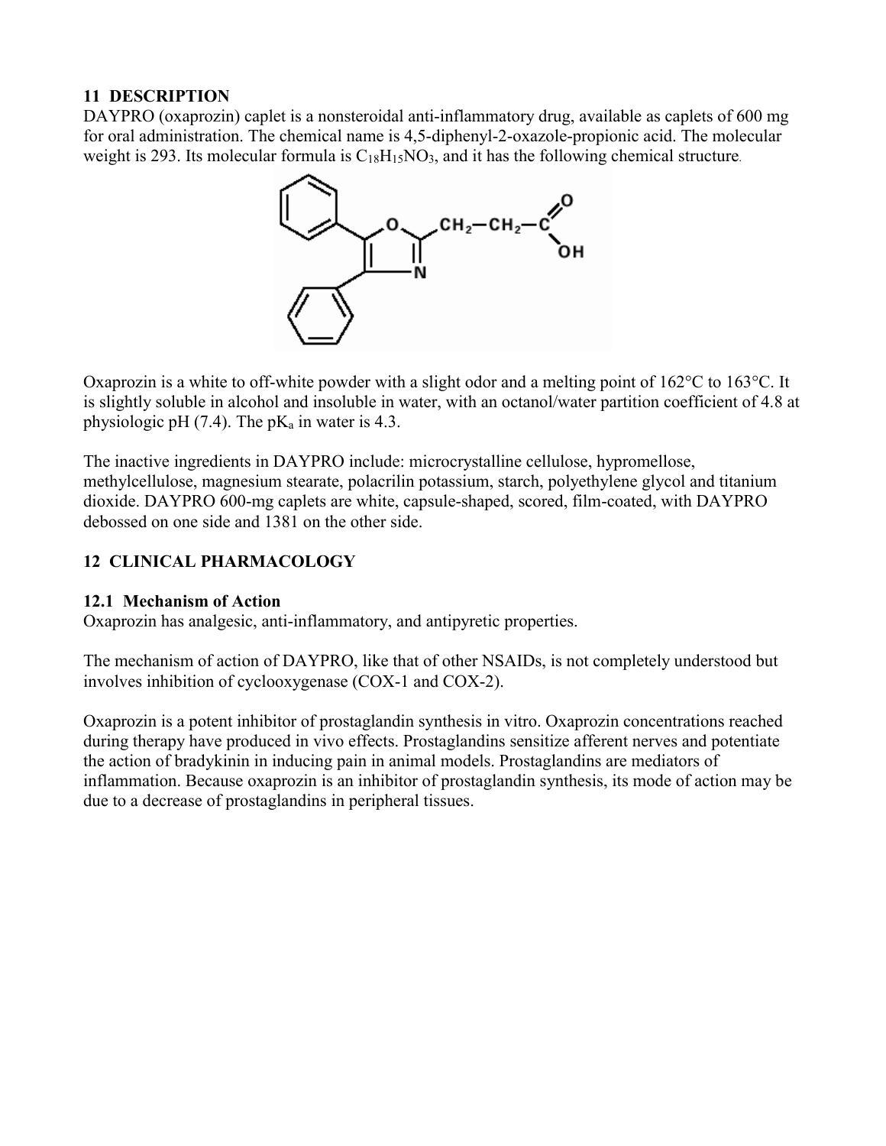# **11 DESCRIPTION**

DAYPRO (oxaprozin) caplet is a nonsteroidal anti-inflammatory drug, available as caplets of 600 mg for oral administration. The chemical name is 4,5-diphenyl-2-oxazole-propionic acid. The molecular weight is 293. Its molecular formula is  $C_{18}H_{15}NO_3$ , and it has the following chemical structure.



Oxaprozin is a white to off-white powder with a slight odor and a melting point of 162°C to 163°C. It is slightly soluble in alcohol and insoluble in water, with an octanol/water partition coefficient of 4.8 at physiologic pH  $(7.4)$ . The pK<sub>a</sub> in water is 4.3.

The inactive ingredients in DAYPRO include: microcrystalline cellulose, hypromellose, methylcellulose, magnesium stearate, polacrilin potassium, starch, polyethylene glycol and titanium dioxide. DAYPRO 600-mg caplets are white, capsule-shaped, scored, film-coated, with DAYPRO debossed on one side and 1381 on the other side.

# **12 CLINICAL PHARMACOLOGY**

# **12.1 Mechanism of Action**

Oxaprozin has analgesic, anti-inflammatory, and antipyretic properties.

The mechanism of action of DAYPRO, like that of other NSAIDs, is not completely understood but involves inhibition of cyclooxygenase (COX-1 and COX-2).

Oxaprozin is a potent inhibitor of prostaglandin synthesis in vitro. Oxaprozin concentrations reached during therapy have produced in vivo effects. Prostaglandins sensitize afferent nerves and potentiate the action of bradykinin in inducing pain in animal models. Prostaglandins are mediators of inflammation. Because oxaprozin is an inhibitor of prostaglandin synthesis, its mode of action may be due to a decrease of prostaglandins in peripheral tissues.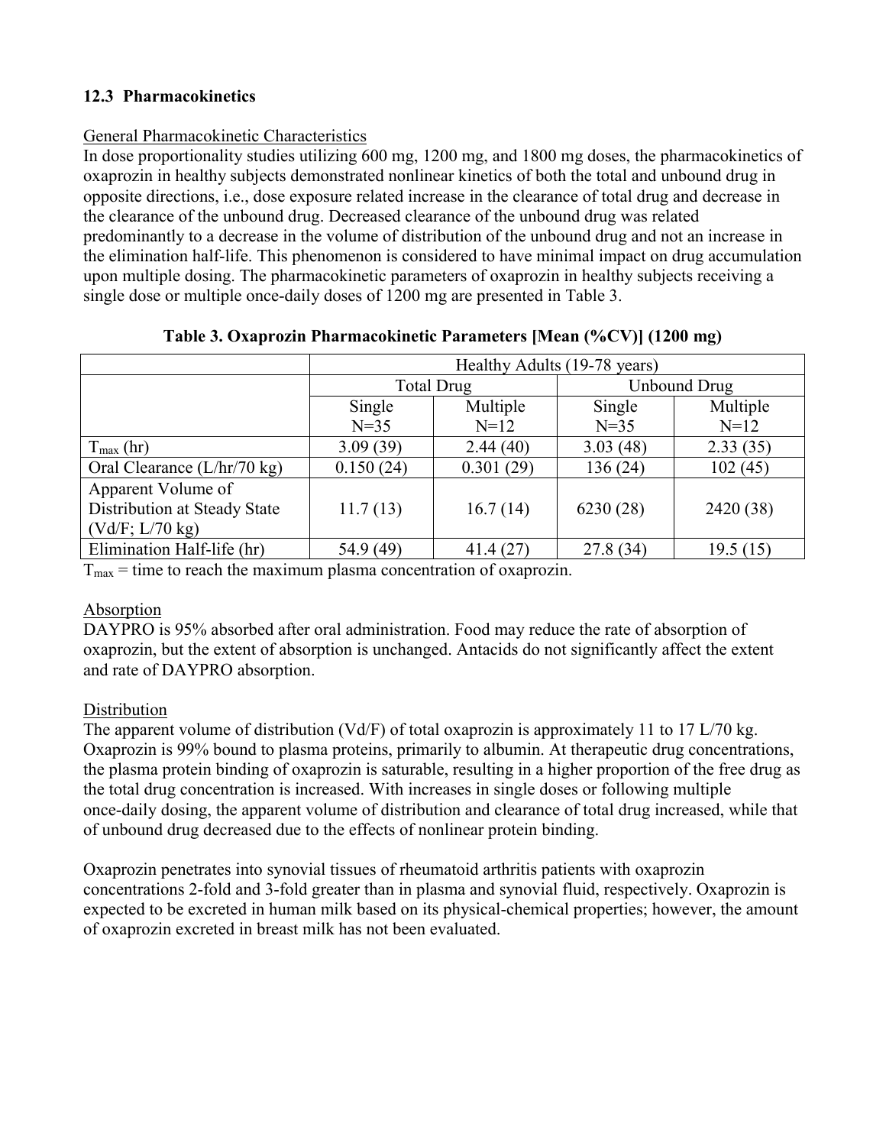# **12.3 Pharmacokinetics**

### General Pharmacokinetic Characteristics

In dose proportionality studies utilizing 600 mg, 1200 mg, and 1800 mg doses, the pharmacokinetics of oxaprozin in healthy subjects demonstrated nonlinear kinetics of both the total and unbound drug in opposite directions, i.e., dose exposure related increase in the clearance of total drug and decrease in the clearance of the unbound drug. Decreased clearance of the unbound drug was related predominantly to a decrease in the volume of distribution of the unbound drug and not an increase in the elimination half-life. This phenomenon is considered to have minimal impact on drug accumulation upon multiple dosing. The pharmacokinetic parameters of oxaprozin in healthy subjects receiving a single dose or multiple once-daily doses of 1200 mg are presented in Table 3.

|                               | Healthy Adults (19-78 years) |           |                     |           |
|-------------------------------|------------------------------|-----------|---------------------|-----------|
|                               | Total Drug                   |           | <b>Unbound Drug</b> |           |
|                               | Single                       | Multiple  | Single              | Multiple  |
|                               | $N=35$                       | $N=12$    | $N=35$              | $N=12$    |
| $T_{\text{max}}$ (hr)         | 3.09(39)                     | 2.44(40)  | 3.03(48)            | 2.33(35)  |
| Oral Clearance $(L/hr/70 kg)$ | 0.150(24)                    | 0.301(29) | 136(24)             | 102(45)   |
| Apparent Volume of            |                              |           |                     |           |
| Distribution at Steady State  | 11.7(13)                     | 16.7(14)  | 6230(28)            | 2420 (38) |
| (Vd/F; L/70 kg)               |                              |           |                     |           |
| Elimination Half-life (hr)    | 54.9 (49)                    | 41.4(27)  | 27.8(34)            | 19.5(15)  |

#### **Table 3. Oxaprozin Pharmacokinetic Parameters [Mean (%CV)] (1200 mg)**

 $T_{\text{max}}$  = time to reach the maximum plasma concentration of oxaprozin.

# Absorption

DAYPRO is 95% absorbed after oral administration. Food may reduce the rate of absorption of oxaprozin, but the extent of absorption is unchanged. Antacids do not significantly affect the extent and rate of DAYPRO absorption.

# Distribution

The apparent volume of distribution (Vd/F) of total oxaprozin is approximately 11 to 17 L/70 kg. Oxaprozin is 99% bound to plasma proteins, primarily to albumin. At therapeutic drug concentrations, the plasma protein binding of oxaprozin is saturable, resulting in a higher proportion of the free drug as the total drug concentration is increased. With increases in single doses or following multiple once-daily dosing, the apparent volume of distribution and clearance of total drug increased, while that of unbound drug decreased due to the effects of nonlinear protein binding.

Oxaprozin penetrates into synovial tissues of rheumatoid arthritis patients with oxaprozin concentrations 2-fold and 3-fold greater than in plasma and synovial fluid, respectively. Oxaprozin is expected to be excreted in human milk based on its physical-chemical properties; however, the amount of oxaprozin excreted in breast milk has not been evaluated.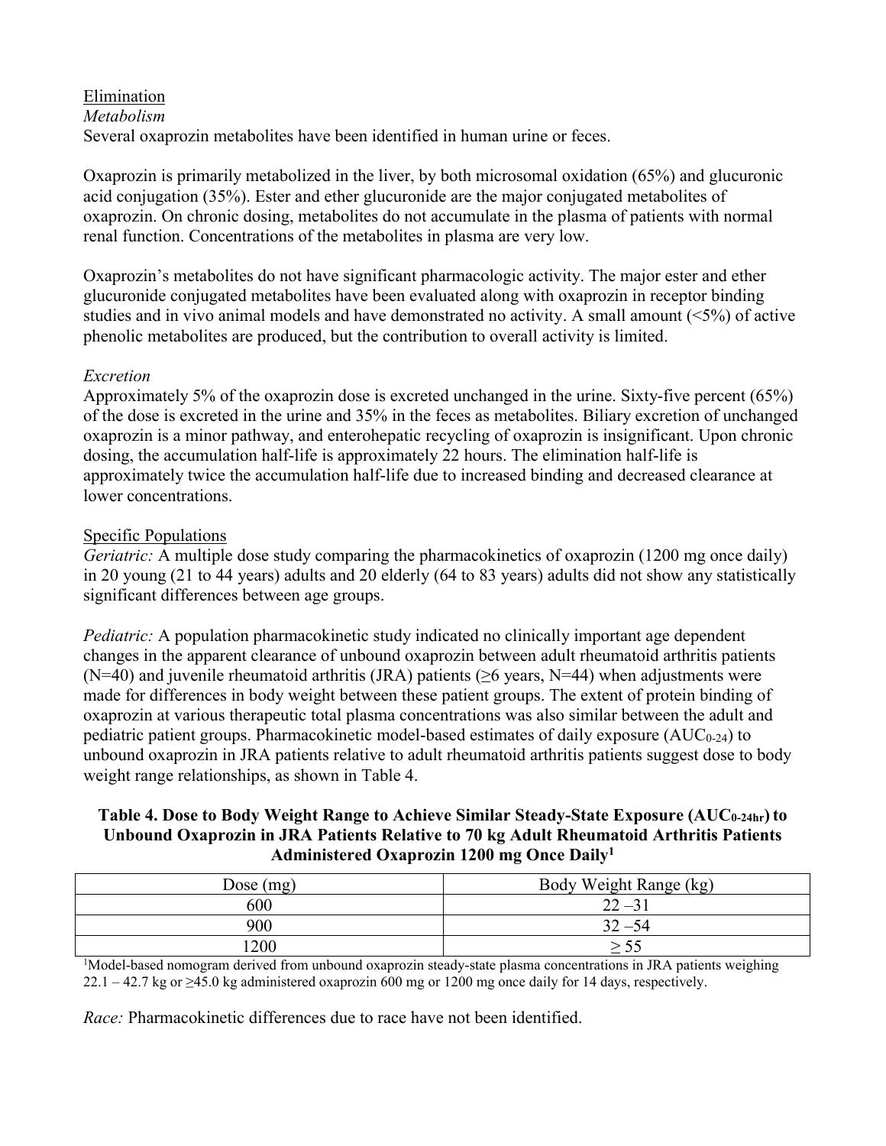# Elimination *Metabolism* Several oxaprozin metabolites have been identified in human urine or feces.

Oxaprozin is primarily metabolized in the liver, by both microsomal oxidation (65%) and glucuronic acid conjugation (35%). Ester and ether glucuronide are the major conjugated metabolites of oxaprozin. On chronic dosing, metabolites do not accumulate in the plasma of patients with normal renal function. Concentrations of the metabolites in plasma are very low.

Oxaprozin's metabolites do not have significant pharmacologic activity. The major ester and ether glucuronide conjugated metabolites have been evaluated along with oxaprozin in receptor binding studies and in vivo animal models and have demonstrated no activity. A small amount (<5%) of active phenolic metabolites are produced, but the contribution to overall activity is limited.

# *Excretion*

Approximately 5% of the oxaprozin dose is excreted unchanged in the urine. Sixty-five percent (65%) of the dose is excreted in the urine and 35% in the feces as metabolites. Biliary excretion of unchanged oxaprozin is a minor pathway, and enterohepatic recycling of oxaprozin is insignificant. Upon chronic dosing, the accumulation half-life is approximately 22 hours. The elimination half-life is approximately twice the accumulation half-life due to increased binding and decreased clearance at lower concentrations.

# Specific Populations

*Geriatric:* A multiple dose study comparing the pharmacokinetics of oxaprozin (1200 mg once daily) in 20 young (21 to 44 years) adults and 20 elderly (64 to 83 years) adults did not show any statistically significant differences between age groups.

*Pediatric:* A population pharmacokinetic study indicated no clinically important age dependent changes in the apparent clearance of unbound oxaprozin between adult rheumatoid arthritis patients (N=40) and juvenile rheumatoid arthritis (JRA) patients ( $\geq$ 6 years, N=44) when adjustments were made for differences in body weight between these patient groups. The extent of protein binding of oxaprozin at various therapeutic total plasma concentrations was also similar between the adult and pediatric patient groups. Pharmacokinetic model-based estimates of daily exposure  $(AUC_{0-24})$  to unbound oxaprozin in JRA patients relative to adult rheumatoid arthritis patients suggest dose to body weight range relationships, as shown in Table 4.

# **Table 4. Dose to Body Weight Range to Achieve Similar Steady-State Exposure (AUC0-24hr)to Unbound Oxaprozin in JRA Patients Relative to 70 kg Adult Rheumatoid Arthritis Patients Administered Oxaprozin 1200 mg Once Daily<sup>1</sup>**

| Dose $(mg)$ | Body Weight Range (kg) |
|-------------|------------------------|
| 600         | $22 - 31$              |
| 900         | $32 - 54$              |
| 1200        |                        |

<sup>1</sup>Model-based nomogram derived from unbound oxaprozin steady-state plasma concentrations in JRA patients weighing  $22.1 - 42.7$  kg or  $\geq 45.0$  kg administered oxaprozin 600 mg or 1200 mg once daily for 14 days, respectively.

*Race:* Pharmacokinetic differences due to race have not been identified.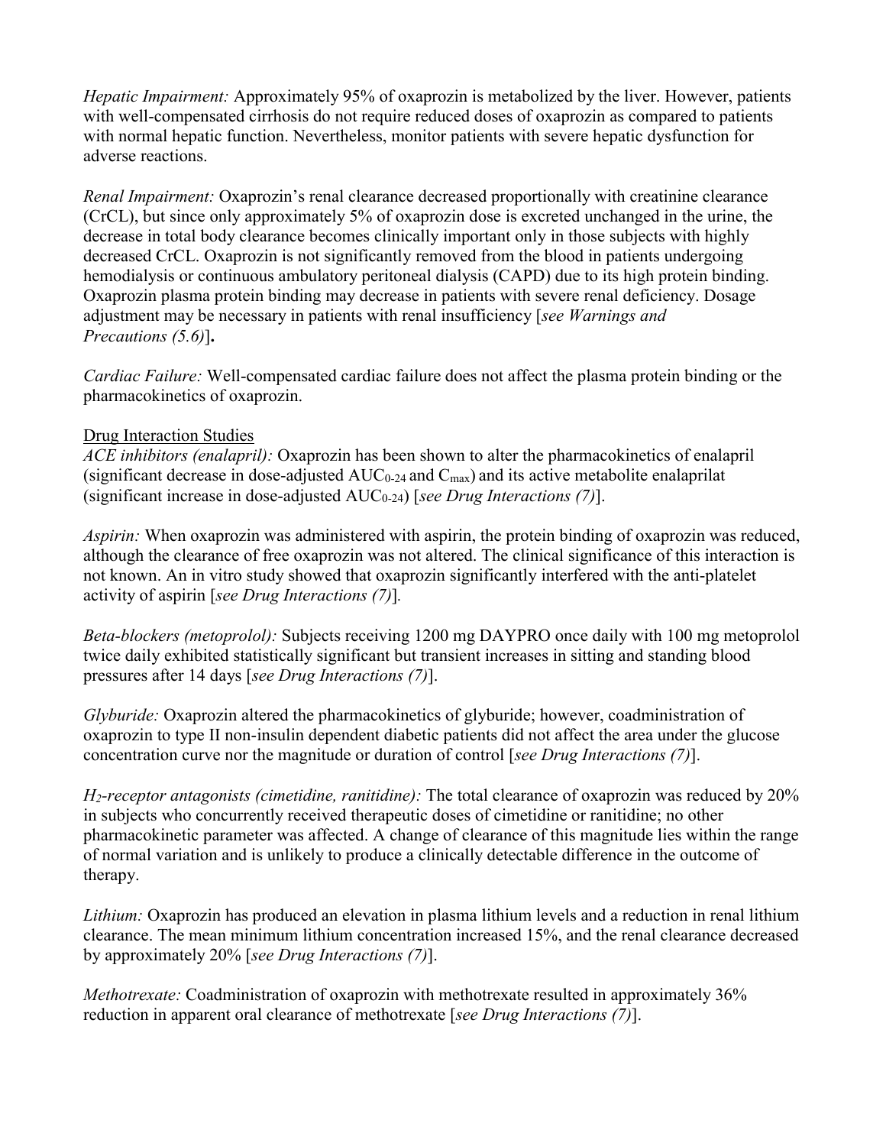*Hepatic Impairment:* Approximately 95% of oxaprozin is metabolized by the liver. However, patients with well-compensated cirrhosis do not require reduced doses of oxaprozin as compared to patients with normal hepatic function. Nevertheless, monitor patients with severe hepatic dysfunction for adverse reactions.

*Renal Impairment:* Oxaprozin's renal clearance decreased proportionally with creatinine clearance (CrCL), but since only approximately 5% of oxaprozin dose is excreted unchanged in the urine, the decrease in total body clearance becomes clinically important only in those subjects with highly decreased CrCL. Oxaprozin is not significantly removed from the blood in patients undergoing hemodialysis or continuous ambulatory peritoneal dialysis (CAPD) due to its high protein binding. Oxaprozin plasma protein binding may decrease in patients with severe renal deficiency. Dosage adjustment may be necessary in patients with renal insufficiency [*see Warnings and Precautions (5.6)*]**.**

*Cardiac Failure:* Well-compensated cardiac failure does not affect the plasma protein binding or the pharmacokinetics of oxaprozin.

#### Drug Interaction Studies

*ACE inhibitors (enalapril):* Oxaprozin has been shown to alter the pharmacokinetics of enalapril (significant decrease in dose-adjusted  $AUC_{0.24}$  and  $C_{\text{max}}$ ) and its active metabolite enalaprilat (significant increase in dose-adjusted AUC0-24) [*see Drug Interactions (7)*].

*Aspirin:* When oxaprozin was administered with aspirin, the protein binding of oxaprozin was reduced, although the clearance of free oxaprozin was not altered. The clinical significance of this interaction is not known. An in vitro study showed that oxaprozin significantly interfered with the anti-platelet activity of aspirin [*see Drug Interactions (7)*]*.*

*Beta-blockers (metoprolol):* Subjects receiving 1200 mg DAYPRO once daily with 100 mg metoprolol twice daily exhibited statistically significant but transient increases in sitting and standing blood pressures after 14 days [*see Drug Interactions (7)*].

*Glyburide:* Oxaprozin altered the pharmacokinetics of glyburide; however, coadministration of oxaprozin to type II non-insulin dependent diabetic patients did not affect the area under the glucose concentration curve nor the magnitude or duration of control [*see Drug Interactions (7)*].

*H2-receptor antagonists (cimetidine, ranitidine):* The total clearance of oxaprozin was reduced by 20% in subjects who concurrently received therapeutic doses of cimetidine or ranitidine; no other pharmacokinetic parameter was affected. A change of clearance of this magnitude lies within the range of normal variation and is unlikely to produce a clinically detectable difference in the outcome of therapy.

*Lithium:* Oxaprozin has produced an elevation in plasma lithium levels and a reduction in renal lithium clearance. The mean minimum lithium concentration increased 15%, and the renal clearance decreased by approximately 20% [*see Drug Interactions (7)*].

*Methotrexate:* Coadministration of oxaprozin with methotrexate resulted in approximately 36% reduction in apparent oral clearance of methotrexate [*see Drug Interactions (7)*].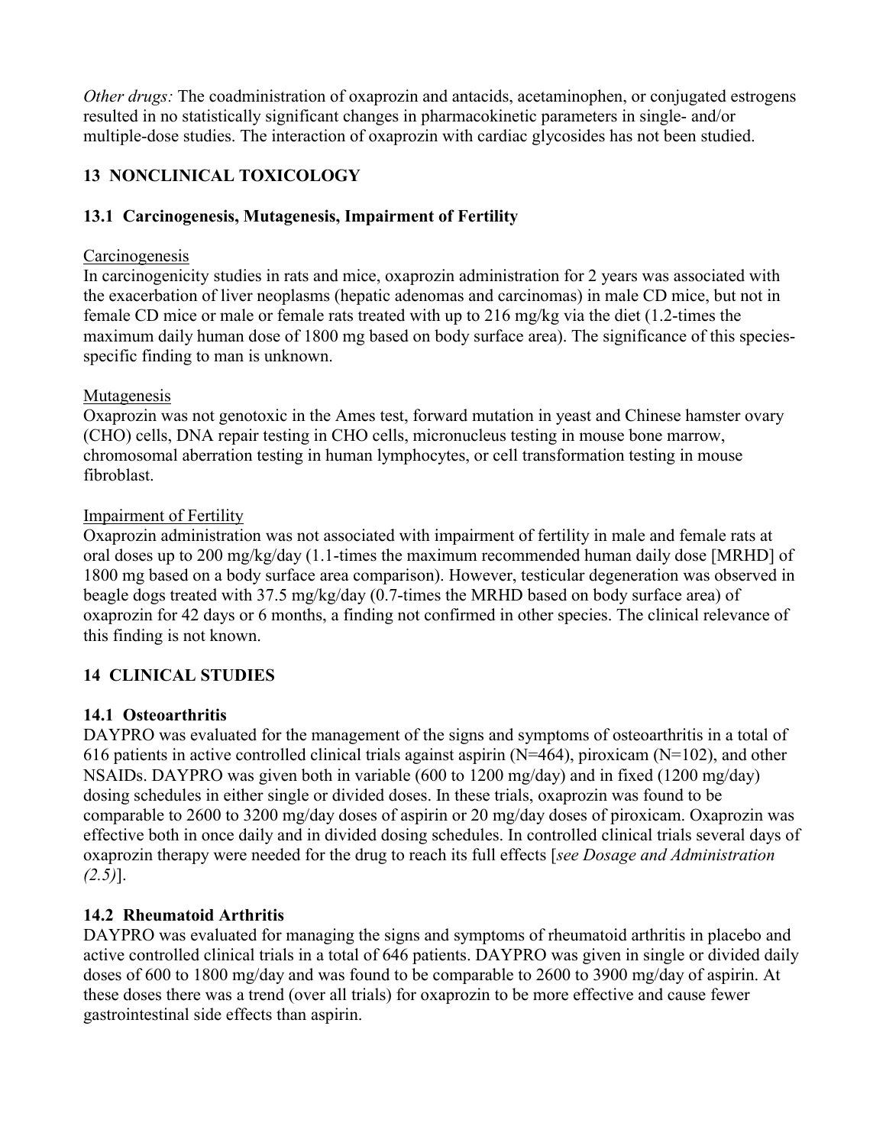*Other drugs:* The coadministration of oxaprozin and antacids, acetaminophen, or conjugated estrogens resulted in no statistically significant changes in pharmacokinetic parameters in single- and/or multiple-dose studies. The interaction of oxaprozin with cardiac glycosides has not been studied.

# **13 NONCLINICAL TOXICOLOGY**

# **13.1 Carcinogenesis, Mutagenesis, Impairment of Fertility**

### Carcinogenesis

In carcinogenicity studies in rats and mice, oxaprozin administration for 2 years was associated with the exacerbation of liver neoplasms (hepatic adenomas and carcinomas) in male CD mice, but not in female CD mice or male or female rats treated with up to 216 mg/kg via the diet (1.2-times the maximum daily human dose of 1800 mg based on body surface area). The significance of this speciesspecific finding to man is unknown.

# Mutagenesis

Oxaprozin was not genotoxic in the Ames test, forward mutation in yeast and Chinese hamster ovary (CHO) cells, DNA repair testing in CHO cells, micronucleus testing in mouse bone marrow, chromosomal aberration testing in human lymphocytes, or cell transformation testing in mouse fibroblast.

#### Impairment of Fertility

Oxaprozin administration was not associated with impairment of fertility in male and female rats at oral doses up to 200 mg/kg/day (1.1-times the maximum recommended human daily dose [MRHD] of 1800 mg based on a body surface area comparison). However, testicular degeneration was observed in beagle dogs treated with 37.5 mg/kg/day (0.7-times the MRHD based on body surface area) of oxaprozin for 42 days or 6 months, a finding not confirmed in other species. The clinical relevance of this finding is not known.

# **14 CLINICAL STUDIES**

# **14.1 Osteoarthritis**

DAYPRO was evaluated for the management of the signs and symptoms of osteoarthritis in a total of 616 patients in active controlled clinical trials against aspirin  $(N=464)$ , piroxicam  $(N=102)$ , and other NSAIDs. DAYPRO was given both in variable (600 to 1200 mg/day) and in fixed (1200 mg/day) dosing schedules in either single or divided doses. In these trials, oxaprozin was found to be comparable to 2600 to 3200 mg/day doses of aspirin or 20 mg/day doses of piroxicam. Oxaprozin was effective both in once daily and in divided dosing schedules. In controlled clinical trials several days of oxaprozin therapy were needed for the drug to reach its full effects [*see Dosage and Administration (2.5)*].

# **14.2 Rheumatoid Arthritis**

DAYPRO was evaluated for managing the signs and symptoms of rheumatoid arthritis in placebo and active controlled clinical trials in a total of 646 patients. DAYPRO was given in single or divided daily doses of 600 to 1800 mg/day and was found to be comparable to 2600 to 3900 mg/day of aspirin. At these doses there was a trend (over all trials) for oxaprozin to be more effective and cause fewer gastrointestinal side effects than aspirin.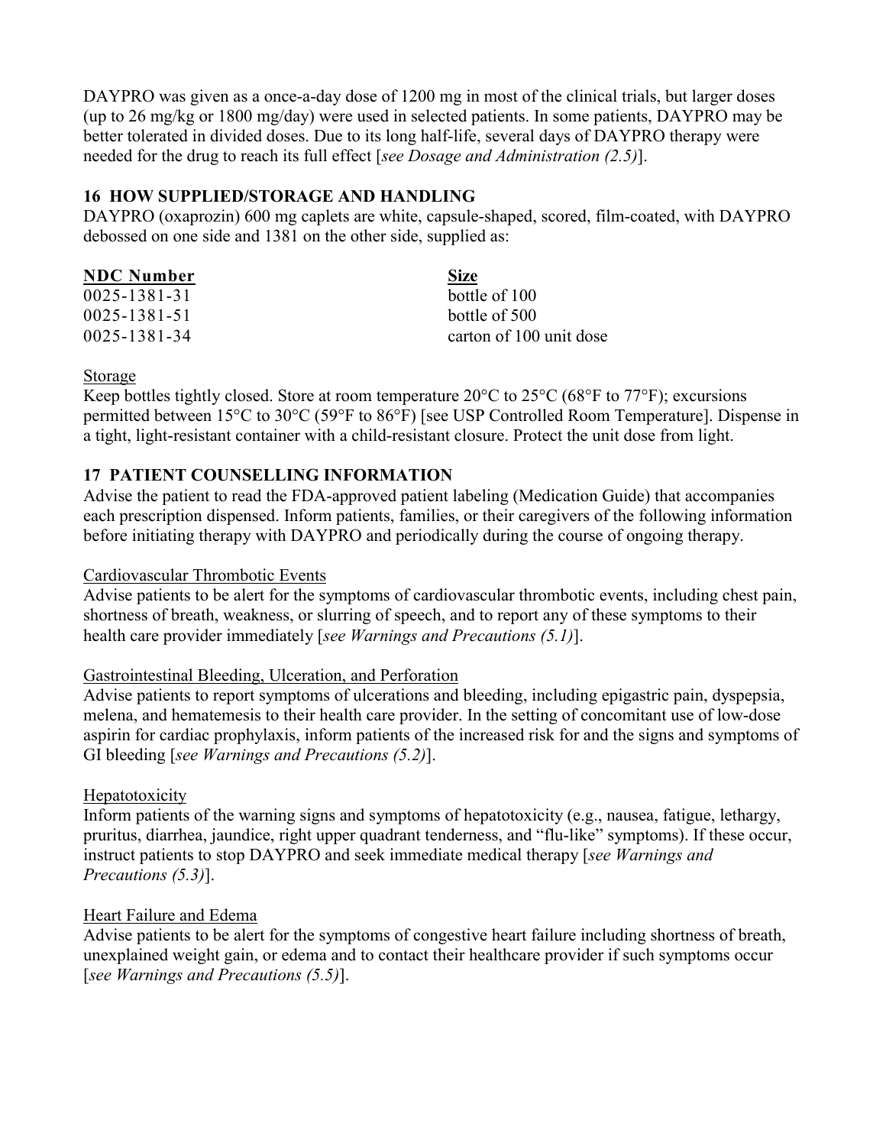DAYPRO was given as a once-a-day dose of 1200 mg in most of the clinical trials, but larger doses (up to 26 mg/kg or 1800 mg/day) were used in selected patients. In some patients, DAYPRO may be better tolerated in divided doses. Due to its long half-life, several days of DAYPRO therapy were needed for the drug to reach its full effect [*see Dosage and Administration (2.5)*].

# **16 HOW SUPPLIED/STORAGE AND HANDLING**

DAYPRO (oxaprozin) 600 mg caplets are white, capsule-shaped, scored, film-coated, with DAYPRO debossed on one side and 1381 on the other side, supplied as:

| <b>NDC</b> Number | <b>Size</b>             |
|-------------------|-------------------------|
| 0025-1381-31      | bottle of 100           |
| 0025-1381-51      | bottle of 500           |
| 0025-1381-34      | carton of 100 unit dose |

# Storage

Keep bottles tightly closed. Store at room temperature  $20^{\circ}$ C to  $25^{\circ}$ C (68°F to  $77^{\circ}$ F); excursions permitted between 15°C to 30°C (59°F to 86°F) [see USP Controlled Room Temperature]. Dispense in a tight, light-resistant container with a child-resistant closure. Protect the unit dose from light.

# **17 PATIENT COUNSELLING INFORMATION**

Advise the patient to read the FDA-approved patient labeling (Medication Guide) that accompanies each prescription dispensed. Inform patients, families, or their caregivers of the following information before initiating therapy with DAYPRO and periodically during the course of ongoing therapy.

# Cardiovascular Thrombotic Events

Advise patients to be alert for the symptoms of cardiovascular thrombotic events, including chest pain, shortness of breath, weakness, or slurring of speech, and to report any of these symptoms to their health care provider immediately [*see Warnings and Precautions (5.1)*].

# Gastrointestinal Bleeding, Ulceration, and Perforation

Advise patients to report symptoms of ulcerations and bleeding, including epigastric pain, dyspepsia, melena, and hematemesis to their health care provider. In the setting of concomitant use of low-dose aspirin for cardiac prophylaxis, inform patients of the increased risk for and the signs and symptoms of GI bleeding [*see Warnings and Precautions (5.2)*].

# **Hepatotoxicity**

Inform patients of the warning signs and symptoms of hepatotoxicity (e.g., nausea, fatigue, lethargy, pruritus, diarrhea, jaundice, right upper quadrant tenderness, and "flu-like" symptoms). If these occur, instruct patients to stop DAYPRO and seek immediate medical therapy [*see Warnings and Precautions (5.3)*].

# Heart Failure and Edema

Advise patients to be alert for the symptoms of congestive heart failure including shortness of breath, unexplained weight gain, or edema and to contact their healthcare provider if such symptoms occur [*see Warnings and Precautions (5.5)*].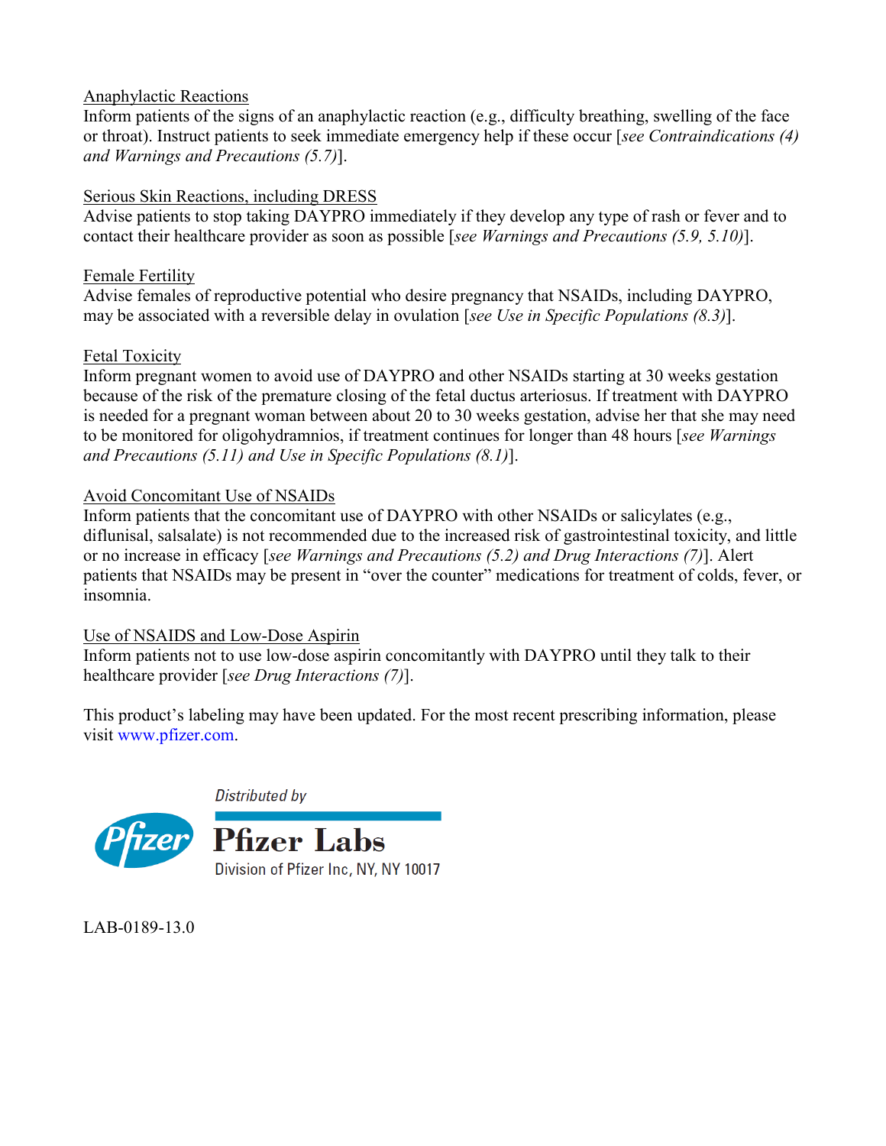# Anaphylactic Reactions

Inform patients of the signs of an anaphylactic reaction (e.g., difficulty breathing, swelling of the face or throat). Instruct patients to seek immediate emergency help if these occur [*see Contraindications (4) and Warnings and Precautions (5.7)*].

# Serious Skin Reactions, including DRESS

Advise patients to stop taking DAYPRO immediately if they develop any type of rash or fever and to contact their healthcare provider as soon as possible [*see Warnings and Precautions (5.9, 5.10)*].

# Female Fertility

Advise females of reproductive potential who desire pregnancy that NSAIDs, including DAYPRO, may be associated with a reversible delay in ovulation [*see Use in Specific Populations (8.3)*].

# Fetal Toxicity

Inform pregnant women to avoid use of DAYPRO and other NSAIDs starting at 30 weeks gestation because of the risk of the premature closing of the fetal ductus arteriosus. If treatment with DAYPRO is needed for a pregnant woman between about 20 to 30 weeks gestation, advise her that she may need to be monitored for oligohydramnios, if treatment continues for longer than 48 hours [*see Warnings and Precautions (5.11) and Use in Specific Populations (8.1)*].

# Avoid Concomitant Use of NSAIDs

Inform patients that the concomitant use of DAYPRO with other NSAIDs or salicylates (e.g., diflunisal, salsalate) is not recommended due to the increased risk of gastrointestinal toxicity, and little or no increase in efficacy [*see Warnings and Precautions (5.2) and Drug Interactions (7)*]. Alert patients that NSAIDs may be present in "over the counter" medications for treatment of colds, fever, or insomnia.

# Use of NSAIDS and Low-Dose Aspirin

Inform patients not to use low-dose aspirin concomitantly with DAYPRO until they talk to their healthcare provider [*see Drug Interactions (7)*].

This product's labeling may have been updated. For the most recent prescribing information, please visit [www.pfizer.com.](http://www.pfizer.com/)

Distributed by



LAB-0189-13.0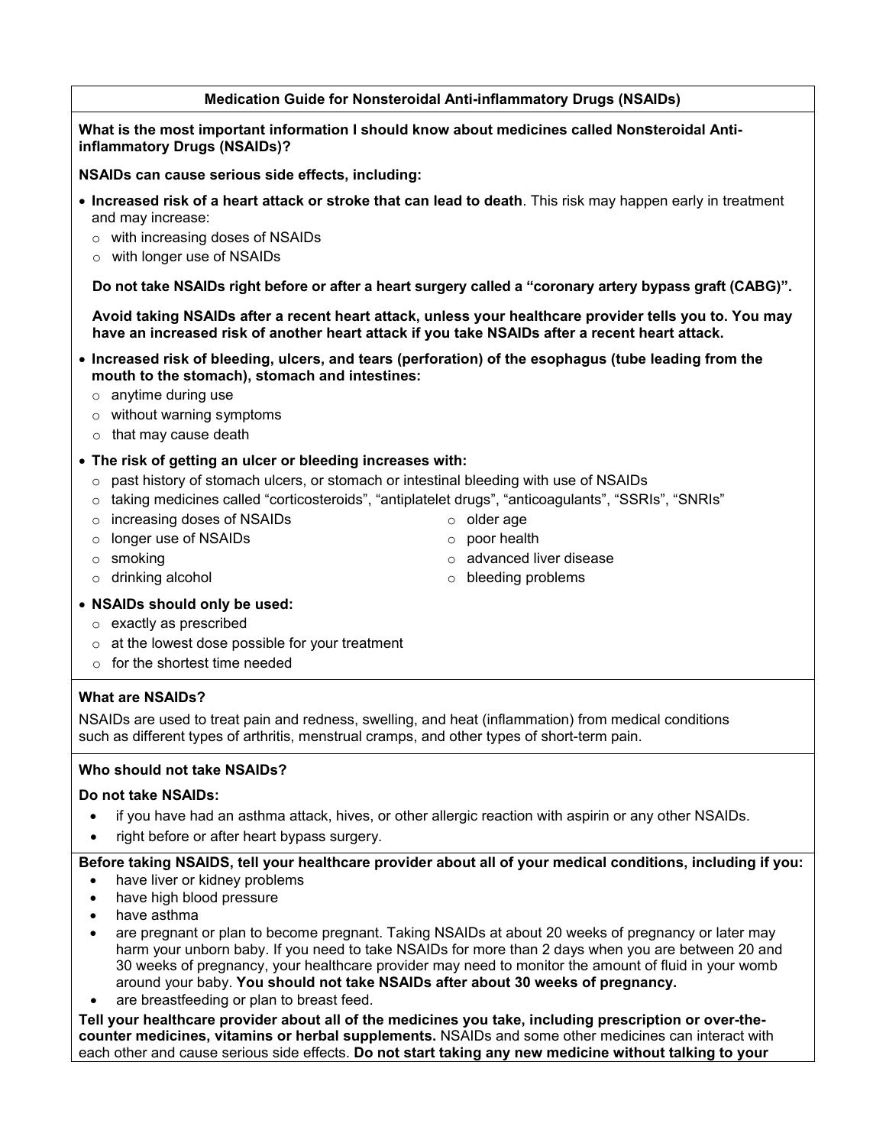#### **Medication Guide for Nonsteroidal Anti-inflammatory Drugs (NSAIDs)**

**What is the most important information I should know about medicines called Nonsteroidal Antiinflammatory Drugs (NSAIDs)?**

**NSAIDs can cause serious side effects, including:**

- **Increased risk of a heart attack or stroke that can lead to death**. This risk may happen early in treatment and may increase:
	- o with increasing doses of NSAIDs
	- o with longer use of NSAIDs

**Do not take NSAIDs right before or after a heart surgery called a "coronary artery bypass graft (CABG)".**

**Avoid taking NSAIDs after a recent heart attack, unless your healthcare provider tells you to. You may have an increased risk of another heart attack if you take NSAIDs after a recent heart attack.** 

- **Increased risk of bleeding, ulcers, and tears (perforation) of the esophagus (tube leading from the mouth to the stomach), stomach and intestines:**
	- $\circ$  anytime during use
	- o without warning symptoms
	- o that may cause death
- **The risk of getting an ulcer or bleeding increases with:**
	- $\circ$  past history of stomach ulcers, or stomach or intestinal bleeding with use of NSAIDs
	- o taking medicines called "corticosteroids", "antiplatelet drugs", "anticoagulants", "SSRIs", "SNRIs"
	- o increasing doses of NSAIDs
	- o longer use of NSAIDs
	- o smoking
	- o drinking alcohol
- o older age o poor health
- o advanced liver disease
- o bleeding problems

- **NSAIDs should only be used:**
	- o exactly as prescribed
	- $\circ$  at the lowest dose possible for your treatment
	- $\circ$  for the shortest time needed

#### **What are NSAIDs?**

NSAIDs are used to treat pain and redness, swelling, and heat (inflammation) from medical conditions such as different types of arthritis, menstrual cramps, and other types of short-term pain.

#### **Who should not take NSAIDs?**

#### **Do not take NSAIDs:**

- if you have had an asthma attack, hives, or other allergic reaction with aspirin or any other NSAIDs.
- right before or after heart bypass surgery.

#### **Before taking NSAIDS, tell your healthcare provider about all of your medical conditions, including if you:**

- have liver or kidney problems
- have high blood pressure
- have asthma
- are pregnant or plan to become pregnant. Taking NSAIDs at about 20 weeks of pregnancy or later may harm your unborn baby. If you need to take NSAIDs for more than 2 days when you are between 20 and 30 weeks of pregnancy, your healthcare provider may need to monitor the amount of fluid in your womb around your baby. **You should not take NSAIDs after about 30 weeks of pregnancy.**
- are breastfeeding or plan to breast feed.

**Tell your healthcare provider about all of the medicines you take, including prescription or over-thecounter medicines, vitamins or herbal supplements.** NSAIDs and some other medicines can interact with each other and cause serious side effects. **Do not start taking any new medicine without talking to your**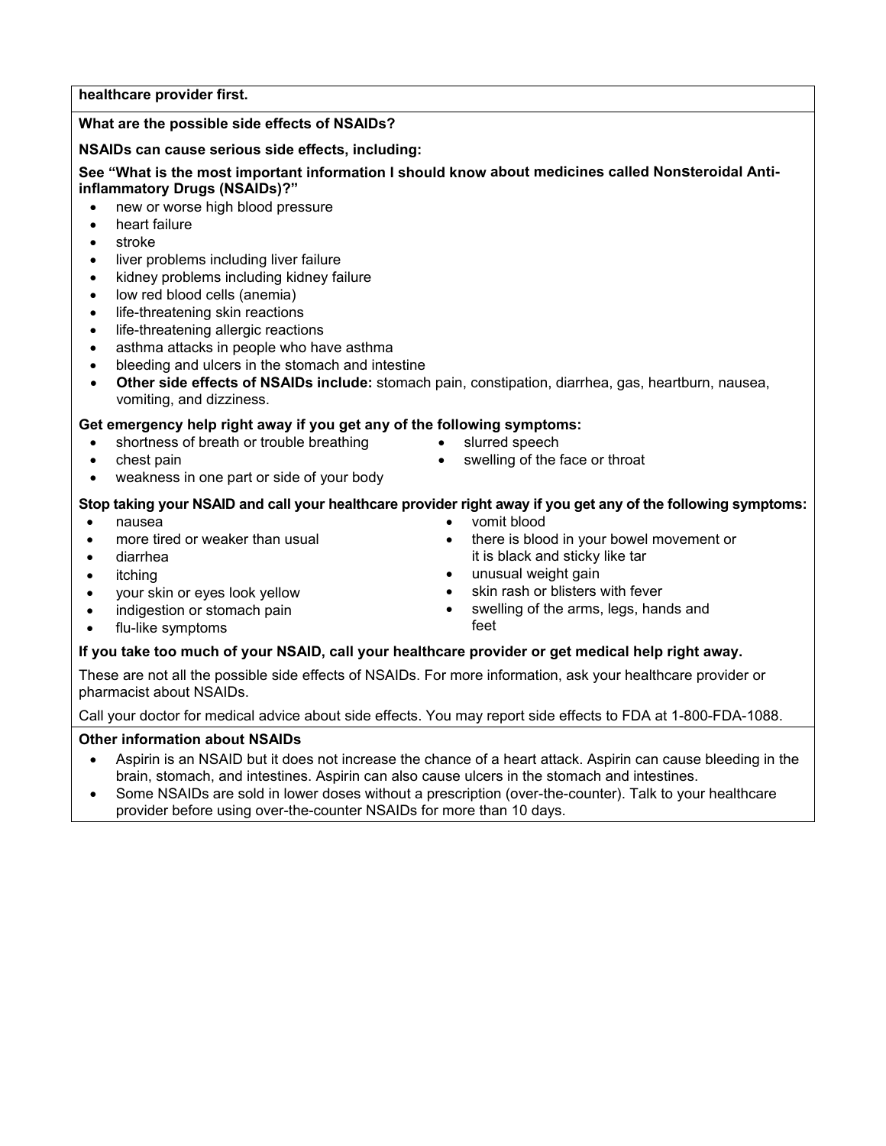#### **healthcare provider first.**

#### **What are the possible side effects of NSAIDs?**

#### **NSAIDs can cause serious side effects, including:**

#### **See "What is the most important information I should know about medicines called Nonsteroidal Antiinflammatory Drugs (NSAIDs)?"**

- new or worse high blood pressure
- heart failure
- stroke
- liver problems including liver failure
- kidney problems including kidney failure
- low red blood cells (anemia)
- life-threatening skin reactions
- life-threatening allergic reactions
- asthma attacks in people who have asthma
- bleeding and ulcers in the stomach and intestine
- **Other side effects of NSAIDs include:** stomach pain, constipation, diarrhea, gas, heartburn, nausea, vomiting, and dizziness.

#### **Get emergency help right away if you get any of the following symptoms:**

- shortness of breath or trouble breathing
- chest pain
- weakness in one part or side of your body
- 

vomit blood

slurred speech

#### **Stop taking your NSAID and call your healthcare provider right away if you get any of the following symptoms:**

- nausea
- more tired or weaker than usual
- diarrhea
- itching
- your skin or eyes look yellow
- indigestion or stomach pain
- it is black and sticky like tar unusual weight gain
- skin rash or blisters with fever

swelling of the face or throat

 swelling of the arms, legs, hands and feet

there is blood in your bowel movement or

#### flu-like symptoms

#### **If you take too much of your NSAID, call your healthcare provider or get medical help right away.**

These are not all the possible side effects of NSAIDs. For more information, ask your healthcare provider or pharmacist about NSAIDs.

Call your doctor for medical advice about side effects. You may report side effects to FDA at 1-800-FDA-1088.

#### **Other information about NSAIDs**

- Aspirin is an NSAID but it does not increase the chance of a heart attack. Aspirin can cause bleeding in the brain, stomach, and intestines. Aspirin can also cause ulcers in the stomach and intestines.
- Some NSAIDs are sold in lower doses without a prescription (over-the-counter). Talk to your healthcare provider before using over-the-counter NSAIDs for more than 10 days.